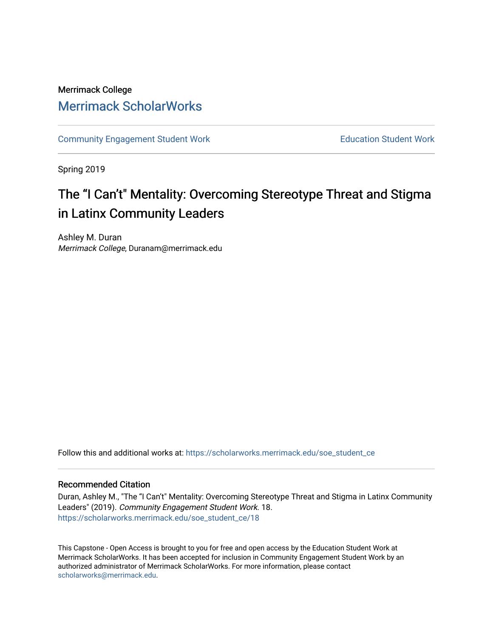## Merrimack College [Merrimack ScholarWorks](https://scholarworks.merrimack.edu/)

[Community Engagement Student Work](https://scholarworks.merrimack.edu/soe_student_ce) **Education Student Work** Education Student Work

Spring 2019

# The "I Can't" Mentality: Overcoming Stereotype Threat and Stigma in Latinx Community Leaders

Ashley M. Duran Merrimack College, Duranam@merrimack.edu

Follow this and additional works at: [https://scholarworks.merrimack.edu/soe\\_student\\_ce](https://scholarworks.merrimack.edu/soe_student_ce?utm_source=scholarworks.merrimack.edu%2Fsoe_student_ce%2F18&utm_medium=PDF&utm_campaign=PDFCoverPages) 

### Recommended Citation

Duran, Ashley M., "The "I Can't" Mentality: Overcoming Stereotype Threat and Stigma in Latinx Community Leaders" (2019). Community Engagement Student Work. 18. [https://scholarworks.merrimack.edu/soe\\_student\\_ce/18](https://scholarworks.merrimack.edu/soe_student_ce/18?utm_source=scholarworks.merrimack.edu%2Fsoe_student_ce%2F18&utm_medium=PDF&utm_campaign=PDFCoverPages)

This Capstone - Open Access is brought to you for free and open access by the Education Student Work at Merrimack ScholarWorks. It has been accepted for inclusion in Community Engagement Student Work by an authorized administrator of Merrimack ScholarWorks. For more information, please contact [scholarworks@merrimack.edu](mailto:scholarworks@merrimack.edu).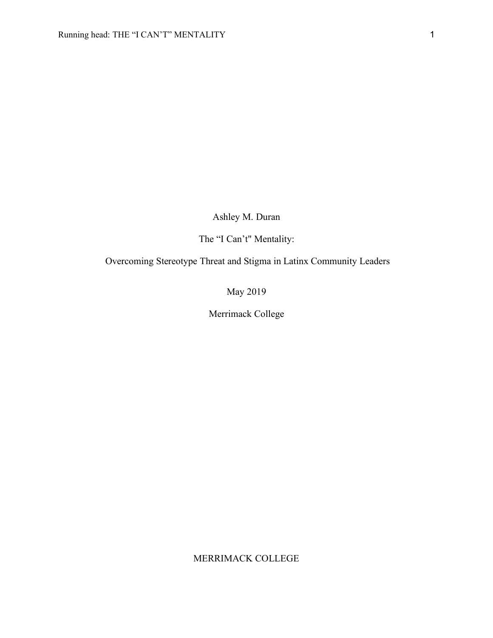Ashley M. Duran

The "I Can't" Mentality:

Overcoming Stereotype Threat and Stigma in Latinx Community Leaders

May 2019

Merrimack College

MERRIMACK COLLEGE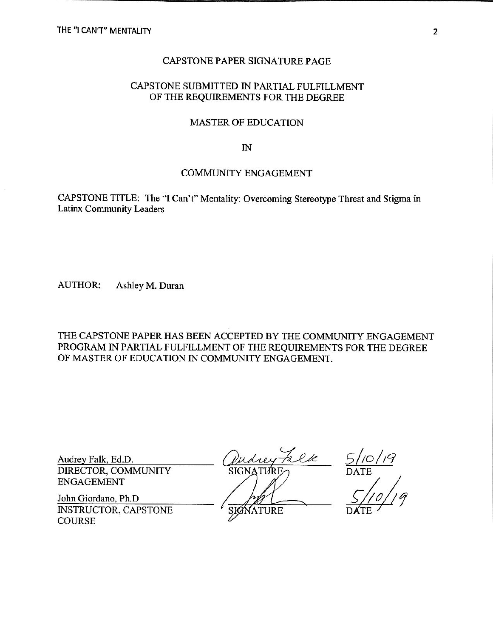### CAPSTONE PAPER SIGNATURE PAGE

### CAPSTONE SUBMITTED IN PARTIAL FULFILLMENT OF THE REQUIREMENTS FOR THE DEGREE

#### **MASTER OF EDUCATION**

 $\mathbb{N}$ 

#### **COMMUNITY ENGAGEMENT**

CAPSTONE TITLE: The "I Can't" Mentality: Overcoming Stereotype Threat and Stigma in Latinx Community Leaders

**AUTHOR:** Ashley M. Duran

THE CAPSTONE PAPER HAS BEEN ACCEPTED BY THE COMMUNITY ENGAGEMENT PROGRAM IN PARTIAL FULFILLMENT OF THE REQUIREMENTS FOR THE DEGREE OF MASTER OF EDUCATION IN COMMUNITY ENGAGEMENT.

Audrey Falk, Ed.D. DIRECTOR, COMMUNITY **ENGAGEMENT** 

John Giordano, Ph.D **INSTRUCTOR, CAPSTONE COURSE** 

talle

SIGN **ATURE** 

 $\frac{5/10/19}{\text{DATE}}$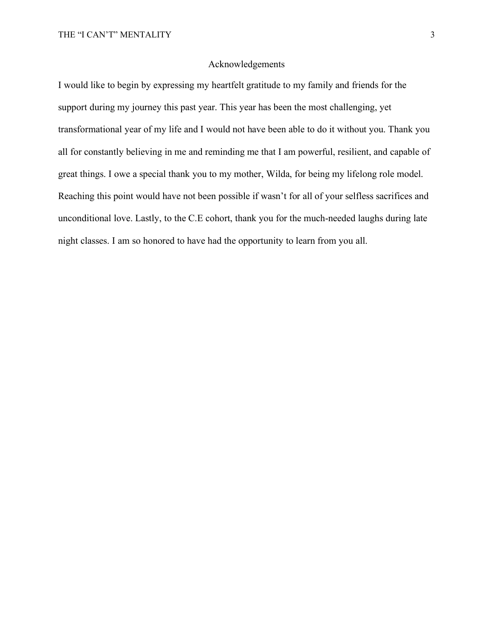#### Acknowledgements

I would like to begin by expressing my heartfelt gratitude to my family and friends for the support during my journey this past year. This year has been the most challenging, yet transformational year of my life and I would not have been able to do it without you. Thank you all for constantly believing in me and reminding me that I am powerful, resilient, and capable of great things. I owe a special thank you to my mother, Wilda, for being my lifelong role model. Reaching this point would have not been possible if wasn't for all of your selfless sacrifices and unconditional love. Lastly, to the C.E cohort, thank you for the much-needed laughs during late night classes. I am so honored to have had the opportunity to learn from you all.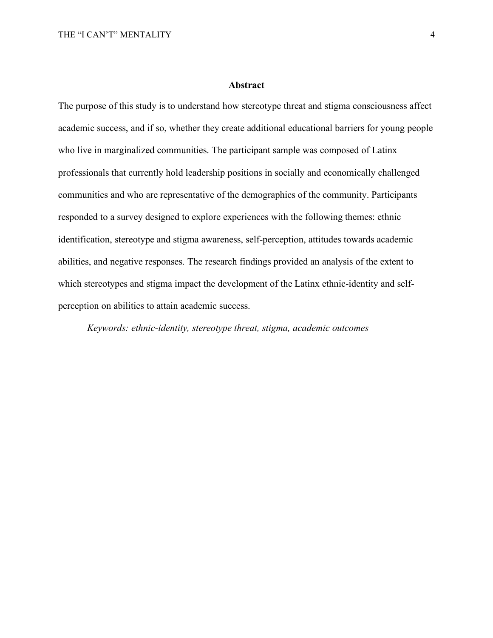#### **Abstract**

The purpose of this study is to understand how stereotype threat and stigma consciousness affect academic success, and if so, whether they create additional educational barriers for young people who live in marginalized communities. The participant sample was composed of Latinx professionals that currently hold leadership positions in socially and economically challenged communities and who are representative of the demographics of the community. Participants responded to a survey designed to explore experiences with the following themes: ethnic identification, stereotype and stigma awareness, self-perception, attitudes towards academic abilities, and negative responses. The research findings provided an analysis of the extent to which stereotypes and stigma impact the development of the Latinx ethnic-identity and selfperception on abilities to attain academic success.

*Keywords: ethnic-identity, stereotype threat, stigma, academic outcomes*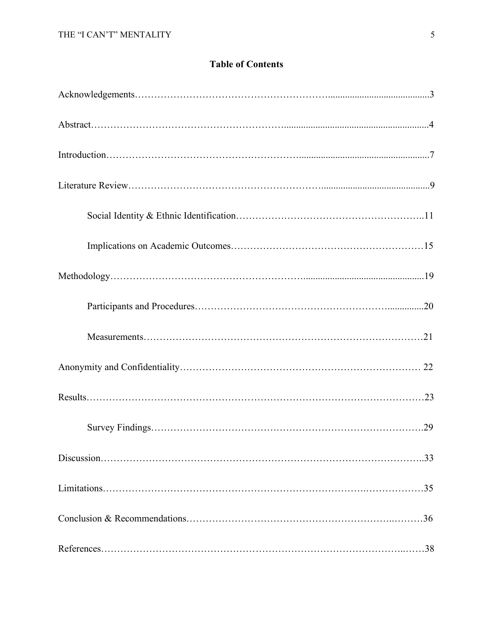## **Table of Contents**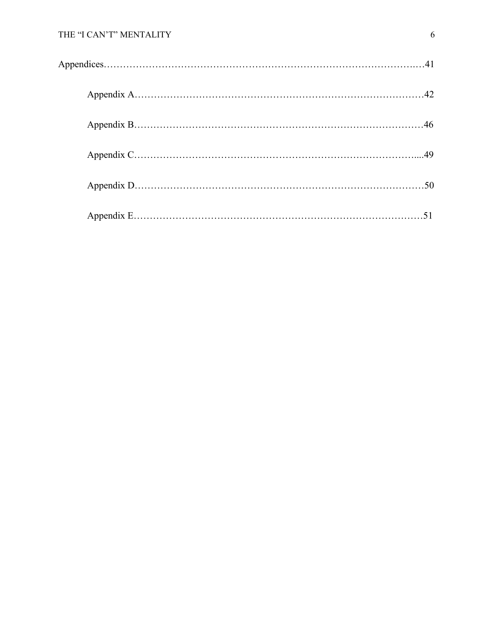### THE "I CAN'T" MENTALITY 6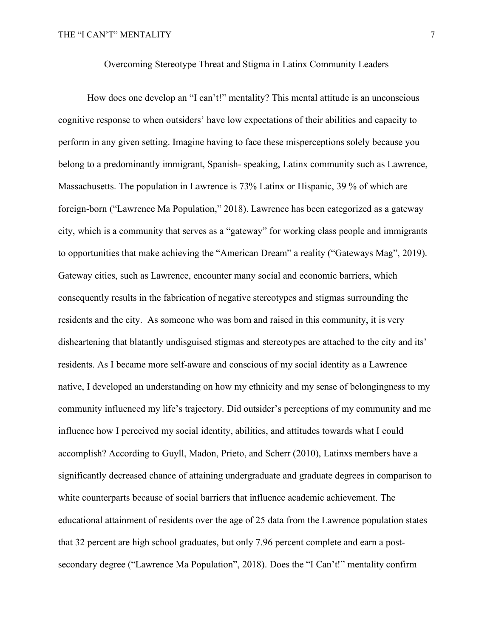How does one develop an "I can't!" mentality? This mental attitude is an unconscious cognitive response to when outsiders' have low expectations of their abilities and capacity to perform in any given setting. Imagine having to face these misperceptions solely because you belong to a predominantly immigrant, Spanish- speaking, Latinx community such as Lawrence, Massachusetts. The population in Lawrence is 73% Latinx or Hispanic, 39 % of which are foreign-born ("Lawrence Ma Population," 2018). Lawrence has been categorized as a gateway city, which is a community that serves as a "gateway" for working class people and immigrants to opportunities that make achieving the "American Dream" a reality ("Gateways Mag", 2019). Gateway cities, such as Lawrence, encounter many social and economic barriers, which consequently results in the fabrication of negative stereotypes and stigmas surrounding the residents and the city. As someone who was born and raised in this community, it is very disheartening that blatantly undisguised stigmas and stereotypes are attached to the city and its' residents. As I became more self-aware and conscious of my social identity as a Lawrence native, I developed an understanding on how my ethnicity and my sense of belongingness to my community influenced my life's trajectory. Did outsider's perceptions of my community and me influence how I perceived my social identity, abilities, and attitudes towards what I could accomplish? According to Guyll, Madon, Prieto, and Scherr (2010), Latinxs members have a significantly decreased chance of attaining undergraduate and graduate degrees in comparison to white counterparts because of social barriers that influence academic achievement. The educational attainment of residents over the age of 25 data from the Lawrence population states that 32 percent are high school graduates, but only 7.96 percent complete and earn a postsecondary degree ("Lawrence Ma Population", 2018). Does the "I Can't!" mentality confirm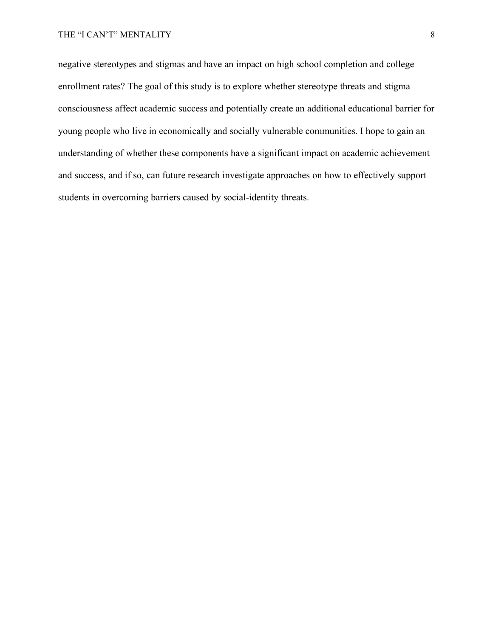negative stereotypes and stigmas and have an impact on high school completion and college enrollment rates? The goal of this study is to explore whether stereotype threats and stigma consciousness affect academic success and potentially create an additional educational barrier for young people who live in economically and socially vulnerable communities. I hope to gain an understanding of whether these components have a significant impact on academic achievement and success, and if so, can future research investigate approaches on how to effectively support students in overcoming barriers caused by social-identity threats.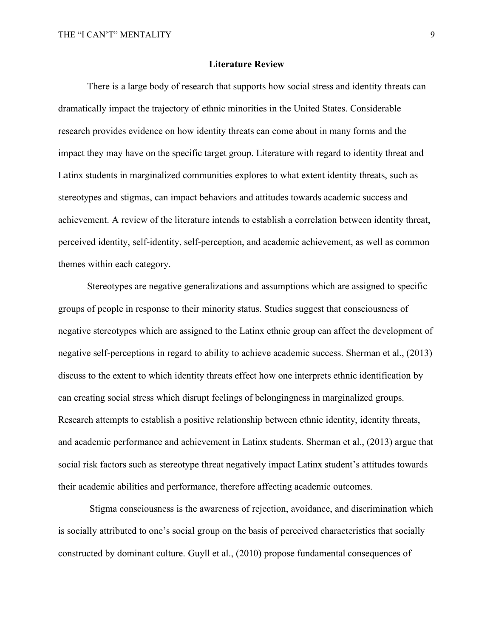#### **Literature Review**

There is a large body of research that supports how social stress and identity threats can dramatically impact the trajectory of ethnic minorities in the United States. Considerable research provides evidence on how identity threats can come about in many forms and the impact they may have on the specific target group. Literature with regard to identity threat and Latinx students in marginalized communities explores to what extent identity threats, such as stereotypes and stigmas, can impact behaviors and attitudes towards academic success and achievement. A review of the literature intends to establish a correlation between identity threat, perceived identity, self-identity, self-perception, and academic achievement, as well as common themes within each category.

Stereotypes are negative generalizations and assumptions which are assigned to specific groups of people in response to their minority status. Studies suggest that consciousness of negative stereotypes which are assigned to the Latinx ethnic group can affect the development of negative self-perceptions in regard to ability to achieve academic success. Sherman et al., (2013) discuss to the extent to which identity threats effect how one interprets ethnic identification by can creating social stress which disrupt feelings of belongingness in marginalized groups. Research attempts to establish a positive relationship between ethnic identity, identity threats, and academic performance and achievement in Latinx students. Sherman et al., (2013) argue that social risk factors such as stereotype threat negatively impact Latinx student's attitudes towards their academic abilities and performance, therefore affecting academic outcomes.

Stigma consciousness is the awareness of rejection, avoidance, and discrimination which is socially attributed to one's social group on the basis of perceived characteristics that socially constructed by dominant culture. Guyll et al., (2010) propose fundamental consequences of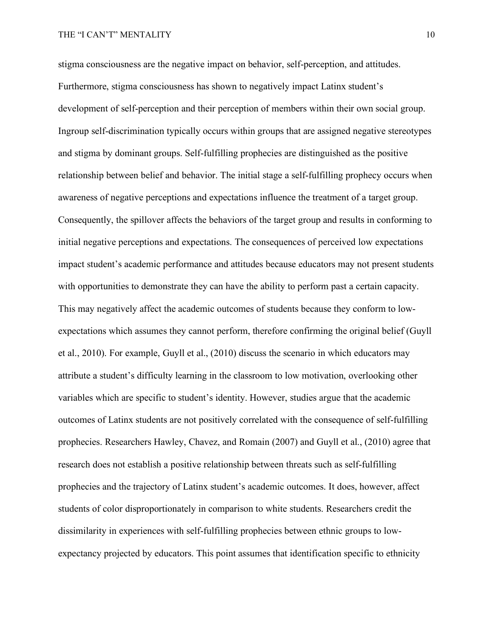stigma consciousness are the negative impact on behavior, self-perception, and attitudes. Furthermore, stigma consciousness has shown to negatively impact Latinx student's development of self-perception and their perception of members within their own social group. Ingroup self-discrimination typically occurs within groups that are assigned negative stereotypes and stigma by dominant groups. Self-fulfilling prophecies are distinguished as the positive relationship between belief and behavior. The initial stage a self-fulfilling prophecy occurs when awareness of negative perceptions and expectations influence the treatment of a target group. Consequently, the spillover affects the behaviors of the target group and results in conforming to initial negative perceptions and expectations. The consequences of perceived low expectations impact student's academic performance and attitudes because educators may not present students with opportunities to demonstrate they can have the ability to perform past a certain capacity. This may negatively affect the academic outcomes of students because they conform to lowexpectations which assumes they cannot perform, therefore confirming the original belief (Guyll et al., 2010). For example, Guyll et al., (2010) discuss the scenario in which educators may attribute a student's difficulty learning in the classroom to low motivation, overlooking other variables which are specific to student's identity. However, studies argue that the academic outcomes of Latinx students are not positively correlated with the consequence of self-fulfilling prophecies. Researchers Hawley, Chavez, and Romain (2007) and Guyll et al., (2010) agree that research does not establish a positive relationship between threats such as self-fulfilling prophecies and the trajectory of Latinx student's academic outcomes. It does, however, affect students of color disproportionately in comparison to white students. Researchers credit the dissimilarity in experiences with self-fulfilling prophecies between ethnic groups to lowexpectancy projected by educators. This point assumes that identification specific to ethnicity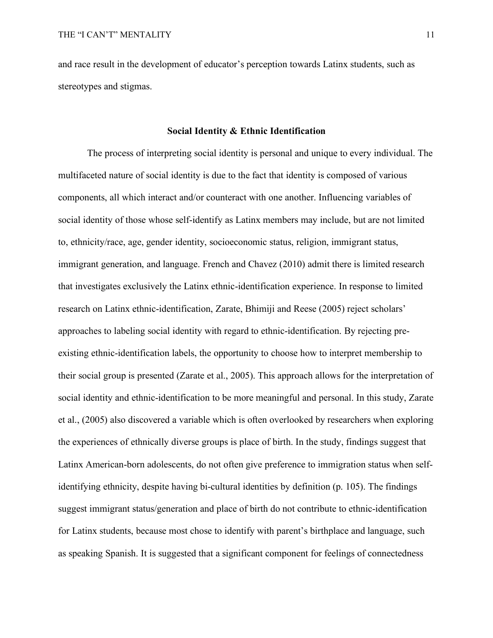and race result in the development of educator's perception towards Latinx students, such as stereotypes and stigmas.

#### **Social Identity & Ethnic Identification**

The process of interpreting social identity is personal and unique to every individual. The multifaceted nature of social identity is due to the fact that identity is composed of various components, all which interact and/or counteract with one another. Influencing variables of social identity of those whose self-identify as Latinx members may include, but are not limited to, ethnicity/race, age, gender identity, socioeconomic status, religion, immigrant status, immigrant generation, and language. French and Chavez (2010) admit there is limited research that investigates exclusively the Latinx ethnic-identification experience. In response to limited research on Latinx ethnic-identification, Zarate, Bhimiji and Reese (2005) reject scholars' approaches to labeling social identity with regard to ethnic-identification. By rejecting preexisting ethnic-identification labels, the opportunity to choose how to interpret membership to their social group is presented (Zarate et al., 2005). This approach allows for the interpretation of social identity and ethnic-identification to be more meaningful and personal. In this study, Zarate et al., (2005) also discovered a variable which is often overlooked by researchers when exploring the experiences of ethnically diverse groups is place of birth. In the study, findings suggest that Latinx American-born adolescents, do not often give preference to immigration status when selfidentifying ethnicity, despite having bi-cultural identities by definition (p. 105). The findings suggest immigrant status/generation and place of birth do not contribute to ethnic-identification for Latinx students, because most chose to identify with parent's birthplace and language, such as speaking Spanish. It is suggested that a significant component for feelings of connectedness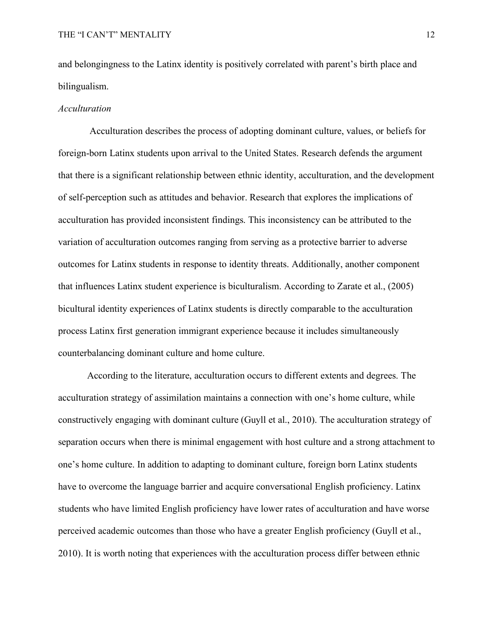and belongingness to the Latinx identity is positively correlated with parent's birth place and bilingualism.

#### *Acculturation*

Acculturation describes the process of adopting dominant culture, values, or beliefs for foreign-born Latinx students upon arrival to the United States. Research defends the argument that there is a significant relationship between ethnic identity, acculturation, and the development of self-perception such as attitudes and behavior. Research that explores the implications of acculturation has provided inconsistent findings. This inconsistency can be attributed to the variation of acculturation outcomes ranging from serving as a protective barrier to adverse outcomes for Latinx students in response to identity threats. Additionally, another component that influences Latinx student experience is biculturalism. According to Zarate et al., (2005) bicultural identity experiences of Latinx students is directly comparable to the acculturation process Latinx first generation immigrant experience because it includes simultaneously counterbalancing dominant culture and home culture.

According to the literature, acculturation occurs to different extents and degrees. The acculturation strategy of assimilation maintains a connection with one's home culture, while constructively engaging with dominant culture (Guyll et al., 2010). The acculturation strategy of separation occurs when there is minimal engagement with host culture and a strong attachment to one's home culture. In addition to adapting to dominant culture, foreign born Latinx students have to overcome the language barrier and acquire conversational English proficiency. Latinx students who have limited English proficiency have lower rates of acculturation and have worse perceived academic outcomes than those who have a greater English proficiency (Guyll et al., 2010). It is worth noting that experiences with the acculturation process differ between ethnic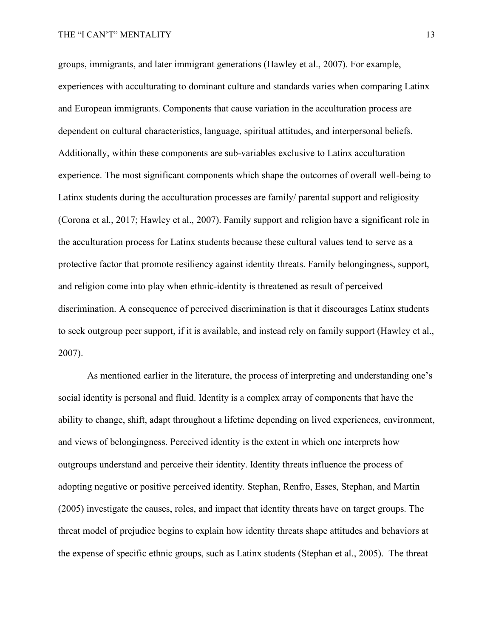groups, immigrants, and later immigrant generations (Hawley et al., 2007). For example, experiences with acculturating to dominant culture and standards varies when comparing Latinx and European immigrants. Components that cause variation in the acculturation process are dependent on cultural characteristics, language, spiritual attitudes, and interpersonal beliefs. Additionally, within these components are sub-variables exclusive to Latinx acculturation experience. The most significant components which shape the outcomes of overall well-being to Latinx students during the acculturation processes are family/ parental support and religiosity (Corona et al., 2017; Hawley et al., 2007). Family support and religion have a significant role in the acculturation process for Latinx students because these cultural values tend to serve as a protective factor that promote resiliency against identity threats. Family belongingness, support, and religion come into play when ethnic-identity is threatened as result of perceived discrimination. A consequence of perceived discrimination is that it discourages Latinx students to seek outgroup peer support, if it is available, and instead rely on family support (Hawley et al., 2007).

As mentioned earlier in the literature, the process of interpreting and understanding one's social identity is personal and fluid. Identity is a complex array of components that have the ability to change, shift, adapt throughout a lifetime depending on lived experiences, environment, and views of belongingness. Perceived identity is the extent in which one interprets how outgroups understand and perceive their identity. Identity threats influence the process of adopting negative or positive perceived identity. Stephan, Renfro, Esses, Stephan, and Martin (2005) investigate the causes, roles, and impact that identity threats have on target groups. The threat model of prejudice begins to explain how identity threats shape attitudes and behaviors at the expense of specific ethnic groups, such as Latinx students (Stephan et al., 2005). The threat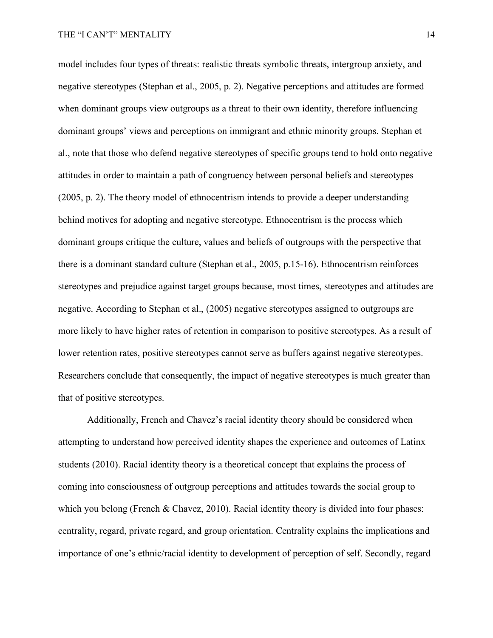model includes four types of threats: realistic threats symbolic threats, intergroup anxiety, and negative stereotypes (Stephan et al., 2005, p. 2). Negative perceptions and attitudes are formed when dominant groups view outgroups as a threat to their own identity, therefore influencing dominant groups' views and perceptions on immigrant and ethnic minority groups. Stephan et al., note that those who defend negative stereotypes of specific groups tend to hold onto negative attitudes in order to maintain a path of congruency between personal beliefs and stereotypes (2005, p. 2). The theory model of ethnocentrism intends to provide a deeper understanding behind motives for adopting and negative stereotype. Ethnocentrism is the process which dominant groups critique the culture, values and beliefs of outgroups with the perspective that there is a dominant standard culture (Stephan et al., 2005, p.15-16). Ethnocentrism reinforces stereotypes and prejudice against target groups because, most times, stereotypes and attitudes are negative. According to Stephan et al., (2005) negative stereotypes assigned to outgroups are more likely to have higher rates of retention in comparison to positive stereotypes. As a result of lower retention rates, positive stereotypes cannot serve as buffers against negative stereotypes. Researchers conclude that consequently, the impact of negative stereotypes is much greater than that of positive stereotypes.

Additionally, French and Chavez's racial identity theory should be considered when attempting to understand how perceived identity shapes the experience and outcomes of Latinx students (2010). Racial identity theory is a theoretical concept that explains the process of coming into consciousness of outgroup perceptions and attitudes towards the social group to which you belong (French & Chavez, 2010). Racial identity theory is divided into four phases: centrality, regard, private regard, and group orientation. Centrality explains the implications and importance of one's ethnic/racial identity to development of perception of self. Secondly, regard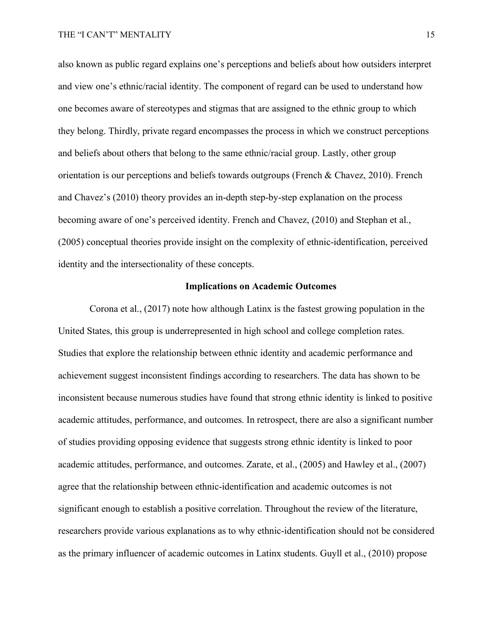also known as public regard explains one's perceptions and beliefs about how outsiders interpret and view one's ethnic/racial identity. The component of regard can be used to understand how one becomes aware of stereotypes and stigmas that are assigned to the ethnic group to which they belong. Thirdly, private regard encompasses the process in which we construct perceptions and beliefs about others that belong to the same ethnic/racial group. Lastly, other group orientation is our perceptions and beliefs towards outgroups (French & Chavez, 2010). French and Chavez's (2010) theory provides an in-depth step-by-step explanation on the process becoming aware of one's perceived identity. French and Chavez, (2010) and Stephan et al., (2005) conceptual theories provide insight on the complexity of ethnic-identification, perceived identity and the intersectionality of these concepts.

#### **Implications on Academic Outcomes**

Corona et al., (2017) note how although Latinx is the fastest growing population in the United States, this group is underrepresented in high school and college completion rates. Studies that explore the relationship between ethnic identity and academic performance and achievement suggest inconsistent findings according to researchers. The data has shown to be inconsistent because numerous studies have found that strong ethnic identity is linked to positive academic attitudes, performance, and outcomes. In retrospect, there are also a significant number of studies providing opposing evidence that suggests strong ethnic identity is linked to poor academic attitudes, performance, and outcomes. Zarate, et al., (2005) and Hawley et al., (2007) agree that the relationship between ethnic-identification and academic outcomes is not significant enough to establish a positive correlation. Throughout the review of the literature, researchers provide various explanations as to why ethnic-identification should not be considered as the primary influencer of academic outcomes in Latinx students. Guyll et al., (2010) propose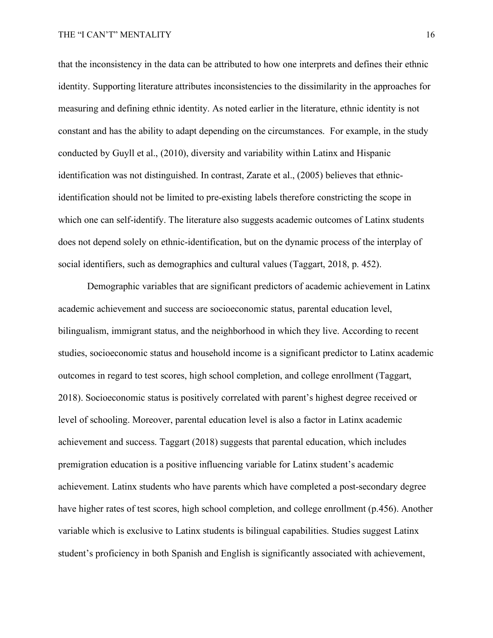that the inconsistency in the data can be attributed to how one interprets and defines their ethnic identity. Supporting literature attributes inconsistencies to the dissimilarity in the approaches for measuring and defining ethnic identity. As noted earlier in the literature, ethnic identity is not constant and has the ability to adapt depending on the circumstances. For example, in the study conducted by Guyll et al., (2010), diversity and variability within Latinx and Hispanic identification was not distinguished. In contrast, Zarate et al., (2005) believes that ethnicidentification should not be limited to pre-existing labels therefore constricting the scope in which one can self-identify. The literature also suggests academic outcomes of Latinx students does not depend solely on ethnic-identification, but on the dynamic process of the interplay of social identifiers, such as demographics and cultural values (Taggart, 2018, p. 452).

Demographic variables that are significant predictors of academic achievement in Latinx academic achievement and success are socioeconomic status, parental education level, bilingualism, immigrant status, and the neighborhood in which they live. According to recent studies, socioeconomic status and household income is a significant predictor to Latinx academic outcomes in regard to test scores, high school completion, and college enrollment (Taggart, 2018). Socioeconomic status is positively correlated with parent's highest degree received or level of schooling. Moreover, parental education level is also a factor in Latinx academic achievement and success. Taggart (2018) suggests that parental education, which includes premigration education is a positive influencing variable for Latinx student's academic achievement. Latinx students who have parents which have completed a post-secondary degree have higher rates of test scores, high school completion, and college enrollment (p.456). Another variable which is exclusive to Latinx students is bilingual capabilities. Studies suggest Latinx student's proficiency in both Spanish and English is significantly associated with achievement,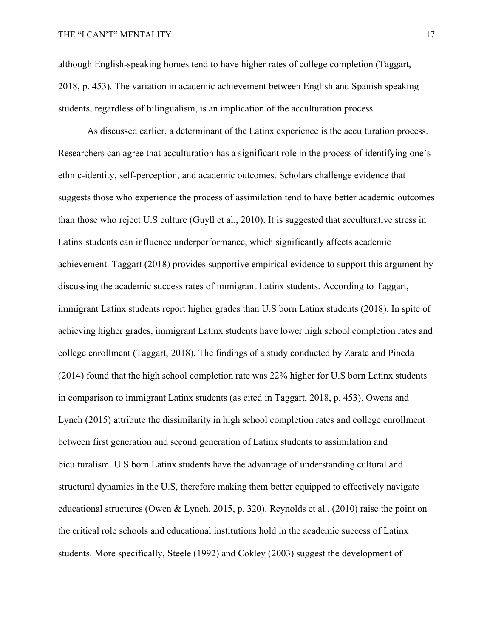although English-speaking homes tend to have higher rates of college completion (Taggart, 2018, p. 453). The variation in academic achievement between English and Spanish speaking students, regardless of bilingualism, is an implication of the acculturation process.

As discussed earlier, a determinant of the Latinx experience is the acculturation process. Researchers can agree that acculturation has a significant role in the process of identifying one's ethnic-identity, self-perception, and academic outcomes. Scholars challenge evidence that suggests those who experience the process of assimilation tend to have better academic outcomes than those who reject U.S culture (Guyll et al., 2010). It is suggested that acculturative stress in Latinx students can influence underperformance, which significantly affects academic achievement. Taggart (2018) provides supportive empirical evidence to support this argument by discussing the academic success rates of immigrant Latinx students. According to Taggart, immigrant Latinx students report higher grades than U.S born Latinx students (2018). In spite of achieving higher grades, immigrant Latinx students have lower high school completion rates and college enrollment (Taggart, 2018). The findings of a study conducted by Zarate and Pineda (2014) found that the high school completion rate was 22% higher for U.S born Latinx students in comparison to immigrant Latinx students (as cited in Taggart, 2018, p. 453). Owens and Lynch (2015) attribute the dissimilarity in high school completion rates and college enrollment between first generation and second generation of Latinx students to assimilation and biculturalism. U.S born Latinx students have the advantage of understanding cultural and structural dynamics in the U.S, therefore making them better equipped to effectively navigate educational structures (Owen & Lynch, 2015, p. 320). Reynolds et al., (2010) raise the point on the critical role schools and educational institutions hold in the academic success of Latinx students. More specifically, Steele (1992) and Cokley (2003) suggest the development of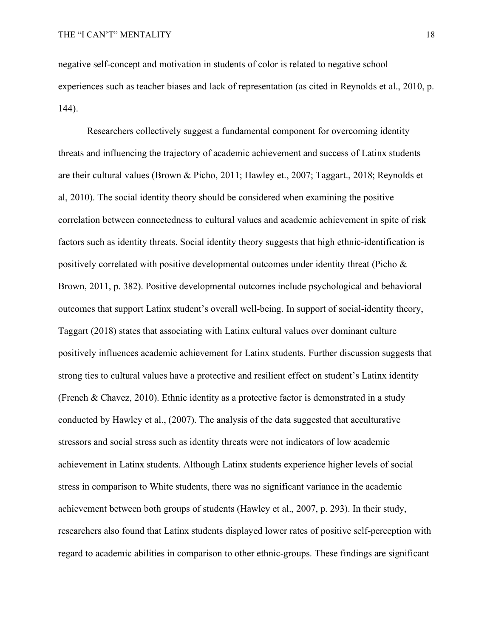negative self-concept and motivation in students of color is related to negative school experiences such as teacher biases and lack of representation (as cited in Reynolds et al., 2010, p. 144).

Researchers collectively suggest a fundamental component for overcoming identity threats and influencing the trajectory of academic achievement and success of Latinx students are their cultural values (Brown & Picho, 2011; Hawley et., 2007; Taggart., 2018; Reynolds et al, 2010). The social identity theory should be considered when examining the positive correlation between connectedness to cultural values and academic achievement in spite of risk factors such as identity threats. Social identity theory suggests that high ethnic-identification is positively correlated with positive developmental outcomes under identity threat (Picho & Brown, 2011, p. 382). Positive developmental outcomes include psychological and behavioral outcomes that support Latinx student's overall well-being. In support of social-identity theory, Taggart (2018) states that associating with Latinx cultural values over dominant culture positively influences academic achievement for Latinx students. Further discussion suggests that strong ties to cultural values have a protective and resilient effect on student's Latinx identity (French & Chavez, 2010). Ethnic identity as a protective factor is demonstrated in a study conducted by Hawley et al., (2007). The analysis of the data suggested that acculturative stressors and social stress such as identity threats were not indicators of low academic achievement in Latinx students. Although Latinx students experience higher levels of social stress in comparison to White students, there was no significant variance in the academic achievement between both groups of students (Hawley et al., 2007, p. 293). In their study, researchers also found that Latinx students displayed lower rates of positive self-perception with regard to academic abilities in comparison to other ethnic-groups. These findings are significant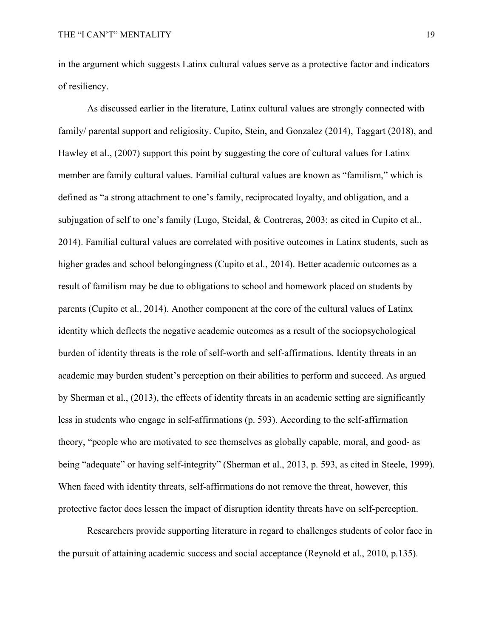in the argument which suggests Latinx cultural values serve as a protective factor and indicators of resiliency.

As discussed earlier in the literature, Latinx cultural values are strongly connected with family/ parental support and religiosity. Cupito, Stein, and Gonzalez (2014), Taggart (2018), and Hawley et al., (2007) support this point by suggesting the core of cultural values for Latinx member are family cultural values. Familial cultural values are known as "familism," which is defined as "a strong attachment to one's family, reciprocated loyalty, and obligation, and a subjugation of self to one's family (Lugo, Steidal, & Contreras, 2003; as cited in Cupito et al., 2014). Familial cultural values are correlated with positive outcomes in Latinx students, such as higher grades and school belongingness (Cupito et al., 2014). Better academic outcomes as a result of familism may be due to obligations to school and homework placed on students by parents (Cupito et al., 2014). Another component at the core of the cultural values of Latinx identity which deflects the negative academic outcomes as a result of the sociopsychological burden of identity threats is the role of self-worth and self-affirmations. Identity threats in an academic may burden student's perception on their abilities to perform and succeed. As argued by Sherman et al., (2013), the effects of identity threats in an academic setting are significantly less in students who engage in self-affirmations (p. 593). According to the self-affirmation theory, "people who are motivated to see themselves as globally capable, moral, and good- as being "adequate" or having self-integrity" (Sherman et al., 2013, p. 593, as cited in Steele, 1999). When faced with identity threats, self-affirmations do not remove the threat, however, this protective factor does lessen the impact of disruption identity threats have on self-perception.

Researchers provide supporting literature in regard to challenges students of color face in the pursuit of attaining academic success and social acceptance (Reynold et al., 2010, p.135).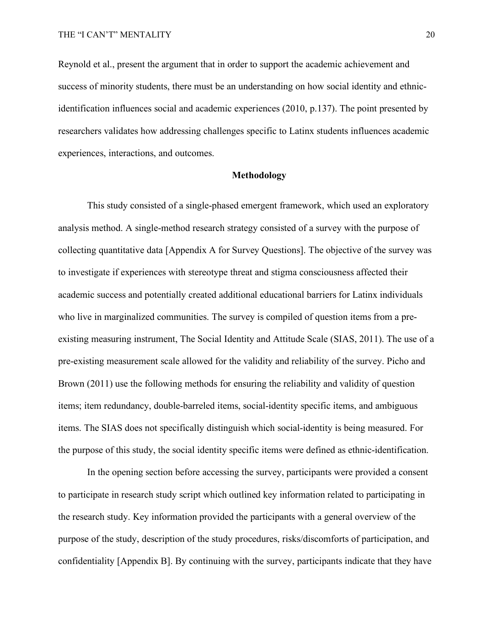Reynold et al., present the argument that in order to support the academic achievement and success of minority students, there must be an understanding on how social identity and ethnicidentification influences social and academic experiences (2010, p.137). The point presented by researchers validates how addressing challenges specific to Latinx students influences academic experiences, interactions, and outcomes.

#### **Methodology**

This study consisted of a single-phased emergent framework, which used an exploratory analysis method. A single-method research strategy consisted of a survey with the purpose of collecting quantitative data [Appendix A for Survey Questions]. The objective of the survey was to investigate if experiences with stereotype threat and stigma consciousness affected their academic success and potentially created additional educational barriers for Latinx individuals who live in marginalized communities. The survey is compiled of question items from a preexisting measuring instrument, The Social Identity and Attitude Scale (SIAS, 2011). The use of a pre-existing measurement scale allowed for the validity and reliability of the survey. Picho and Brown (2011) use the following methods for ensuring the reliability and validity of question items; item redundancy, double-barreled items, social-identity specific items, and ambiguous items. The SIAS does not specifically distinguish which social-identity is being measured. For the purpose of this study, the social identity specific items were defined as ethnic-identification.

In the opening section before accessing the survey, participants were provided a consent to participate in research study script which outlined key information related to participating in the research study. Key information provided the participants with a general overview of the purpose of the study, description of the study procedures, risks/discomforts of participation, and confidentiality [Appendix B]. By continuing with the survey, participants indicate that they have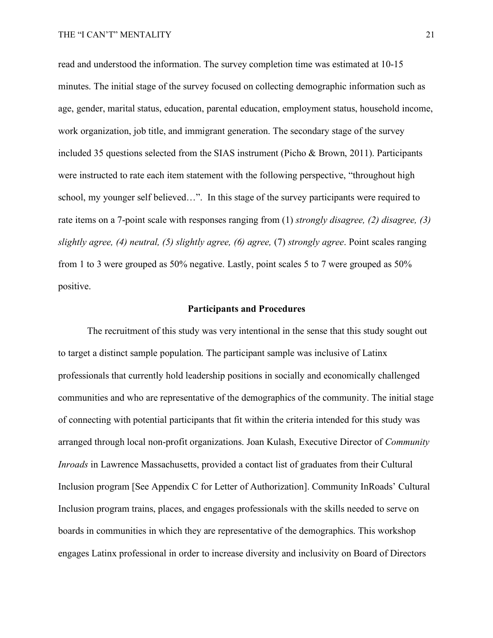read and understood the information. The survey completion time was estimated at 10-15 minutes. The initial stage of the survey focused on collecting demographic information such as age, gender, marital status, education, parental education, employment status, household income, work organization, job title, and immigrant generation. The secondary stage of the survey included 35 questions selected from the SIAS instrument (Picho & Brown, 2011). Participants were instructed to rate each item statement with the following perspective, "throughout high school, my younger self believed…". In this stage of the survey participants were required to rate items on a 7-point scale with responses ranging from (1) *strongly disagree, (2) disagree, (3) slightly agree, (4) neutral, (5) slightly agree, (6) agree,* (7) *strongly agree*. Point scales ranging from 1 to 3 were grouped as 50% negative. Lastly, point scales 5 to 7 were grouped as 50% positive.

#### **Participants and Procedures**

The recruitment of this study was very intentional in the sense that this study sought out to target a distinct sample population. The participant sample was inclusive of Latinx professionals that currently hold leadership positions in socially and economically challenged communities and who are representative of the demographics of the community. The initial stage of connecting with potential participants that fit within the criteria intended for this study was arranged through local non-profit organizations. Joan Kulash, Executive Director of *Community Inroads* in Lawrence Massachusetts, provided a contact list of graduates from their Cultural Inclusion program [See Appendix C for Letter of Authorization]. Community InRoads' Cultural Inclusion program trains, places, and engages professionals with the skills needed to serve on boards in communities in which they are representative of the demographics. This workshop engages Latinx professional in order to increase diversity and inclusivity on Board of Directors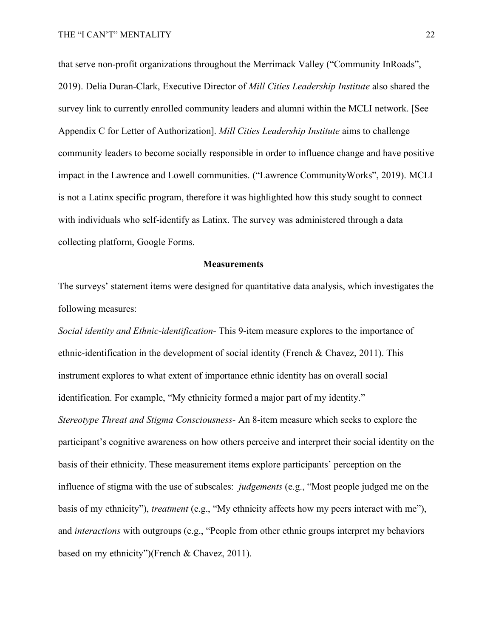that serve non-profit organizations throughout the Merrimack Valley ("Community InRoads", 2019). Delia Duran-Clark, Executive Director of *Mill Cities Leadership Institute* also shared the survey link to currently enrolled community leaders and alumni within the MCLI network. [See Appendix C for Letter of Authorization]. *Mill Cities Leadership Institute* aims to challenge community leaders to become socially responsible in order to influence change and have positive impact in the Lawrence and Lowell communities. ("Lawrence CommunityWorks", 2019). MCLI is not a Latinx specific program, therefore it was highlighted how this study sought to connect with individuals who self-identify as Latinx. The survey was administered through a data collecting platform, Google Forms.

#### **Measurements**

The surveys' statement items were designed for quantitative data analysis, which investigates the following measures:

*Social identity and Ethnic-identification-* This 9-item measure explores to the importance of ethnic-identification in the development of social identity (French & Chavez, 2011). This instrument explores to what extent of importance ethnic identity has on overall social identification. For example, "My ethnicity formed a major part of my identity." *Stereotype Threat and Stigma Consciousness-* An 8-item measure which seeks to explore the participant's cognitive awareness on how others perceive and interpret their social identity on the basis of their ethnicity. These measurement items explore participants' perception on the influence of stigma with the use of subscales: *judgements* (e.g., "Most people judged me on the basis of my ethnicity"), *treatment* (e.g., "My ethnicity affects how my peers interact with me"), and *interactions* with outgroups (e.g., "People from other ethnic groups interpret my behaviors based on my ethnicity")(French & Chavez, 2011).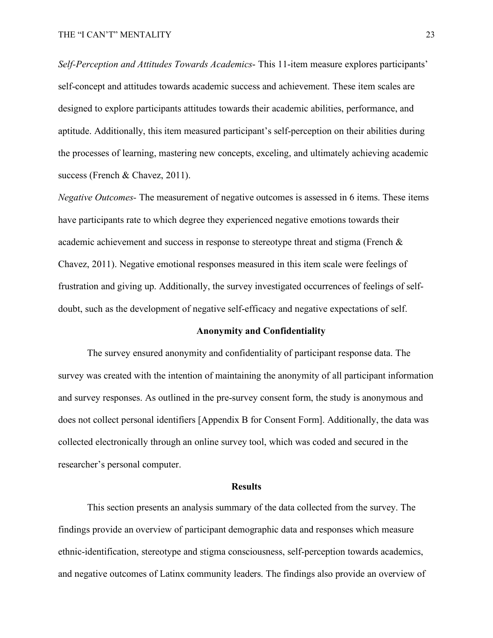*Self-Perception and Attitudes Towards Academics*- This 11-item measure explores participants' self-concept and attitudes towards academic success and achievement. These item scales are designed to explore participants attitudes towards their academic abilities, performance, and aptitude. Additionally, this item measured participant's self-perception on their abilities during the processes of learning, mastering new concepts, exceling, and ultimately achieving academic success (French & Chavez, 2011).

*Negative Outcomes-* The measurement of negative outcomes is assessed in 6 items. These items have participants rate to which degree they experienced negative emotions towards their academic achievement and success in response to stereotype threat and stigma (French & Chavez, 2011). Negative emotional responses measured in this item scale were feelings of frustration and giving up. Additionally, the survey investigated occurrences of feelings of selfdoubt, such as the development of negative self-efficacy and negative expectations of self.

#### **Anonymity and Confidentiality**

The survey ensured anonymity and confidentiality of participant response data. The survey was created with the intention of maintaining the anonymity of all participant information and survey responses. As outlined in the pre-survey consent form, the study is anonymous and does not collect personal identifiers [Appendix B for Consent Form]. Additionally, the data was collected electronically through an online survey tool, which was coded and secured in the researcher's personal computer.

#### **Results**

This section presents an analysis summary of the data collected from the survey. The findings provide an overview of participant demographic data and responses which measure ethnic-identification, stereotype and stigma consciousness, self-perception towards academics, and negative outcomes of Latinx community leaders. The findings also provide an overview of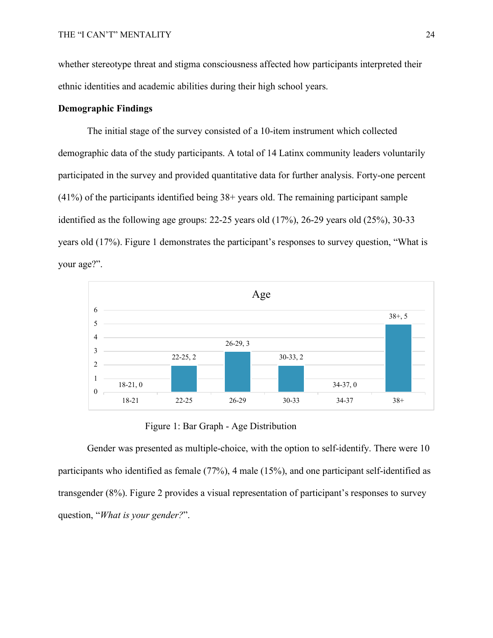whether stereotype threat and stigma consciousness affected how participants interpreted their ethnic identities and academic abilities during their high school years.

#### **Demographic Findings**

The initial stage of the survey consisted of a 10-item instrument which collected demographic data of the study participants. A total of 14 Latinx community leaders voluntarily participated in the survey and provided quantitative data for further analysis. Forty-one percent (41%) of the participants identified being 38+ years old. The remaining participant sample identified as the following age groups:  $22-25$  years old  $(17%)$ ,  $26-29$  years old  $(25%)$ ,  $30-33$ years old (17%). Figure 1 demonstrates the participant's responses to survey question, "What is your age?".



Figure 1: Bar Graph - Age Distribution

Gender was presented as multiple-choice, with the option to self-identify. There were 10 participants who identified as female (77%), 4 male (15%), and one participant self-identified as transgender (8%). Figure 2 provides a visual representation of participant's responses to survey question, "*What is your gender?*".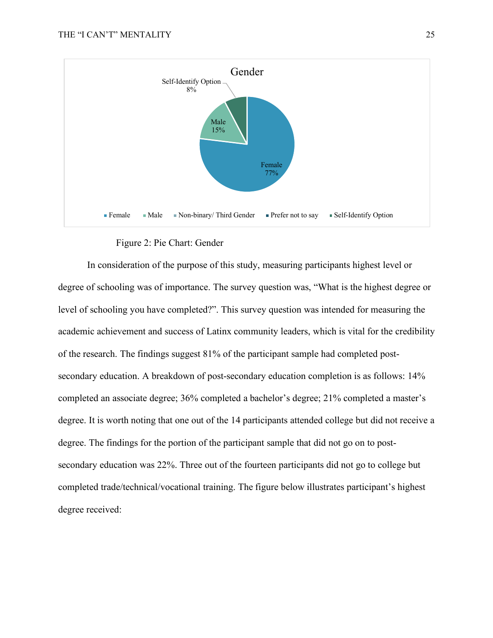

Figure 2: Pie Chart: Gender

In consideration of the purpose of this study, measuring participants highest level or degree of schooling was of importance. The survey question was, "What is the highest degree or level of schooling you have completed?". This survey question was intended for measuring the academic achievement and success of Latinx community leaders, which is vital for the credibility of the research. The findings suggest 81% of the participant sample had completed postsecondary education. A breakdown of post-secondary education completion is as follows: 14% completed an associate degree; 36% completed a bachelor's degree; 21% completed a master's degree. It is worth noting that one out of the 14 participants attended college but did not receive a degree. The findings for the portion of the participant sample that did not go on to postsecondary education was 22%. Three out of the fourteen participants did not go to college but completed trade/technical/vocational training. The figure below illustrates participant's highest degree received: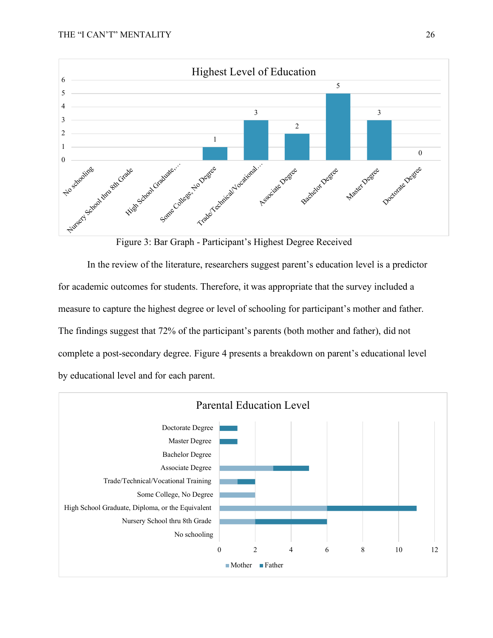

Figure 3: Bar Graph - Participant's Highest Degree Received

In the review of the literature, researchers suggest parent's education level is a predictor for academic outcomes for students. Therefore, it was appropriate that the survey included a measure to capture the highest degree or level of schooling for participant's mother and father. The findings suggest that 72% of the participant's parents (both mother and father), did not complete a post-secondary degree. Figure 4 presents a breakdown on parent's educational level by educational level and for each parent.

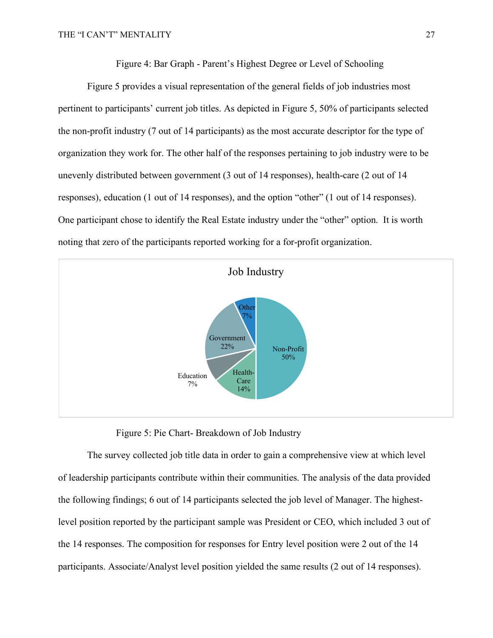Figure 4: Bar Graph - Parent's Highest Degree or Level of Schooling

Figure 5 provides a visual representation of the general fields of job industries most pertinent to participants' current job titles. As depicted in Figure 5, 50% of participants selected the non-profit industry (7 out of 14 participants) as the most accurate descriptor for the type of organization they work for. The other half of the responses pertaining to job industry were to be unevenly distributed between government (3 out of 14 responses), health-care (2 out of 14 responses), education (1 out of 14 responses), and the option "other" (1 out of 14 responses). One participant chose to identify the Real Estate industry under the "other" option. It is worth noting that zero of the participants reported working for a for-profit organization.



Figure 5: Pie Chart- Breakdown of Job Industry

The survey collected job title data in order to gain a comprehensive view at which level of leadership participants contribute within their communities. The analysis of the data provided the following findings; 6 out of 14 participants selected the job level of Manager. The highestlevel position reported by the participant sample was President or CEO, which included 3 out of the 14 responses. The composition for responses for Entry level position were 2 out of the 14 participants. Associate/Analyst level position yielded the same results (2 out of 14 responses).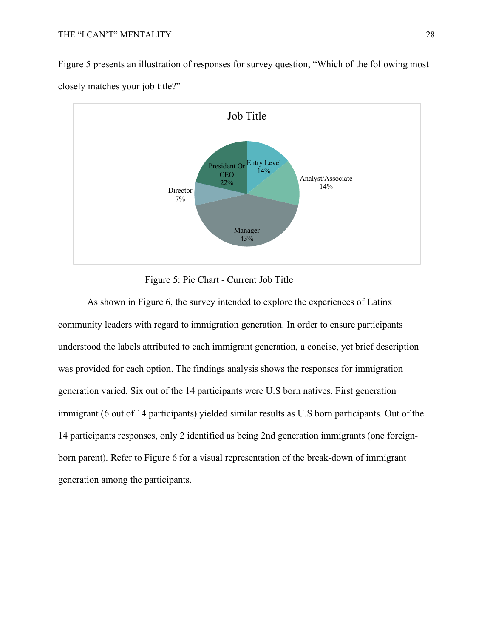Figure 5 presents an illustration of responses for survey question, "Which of the following most closely matches your job title?"





As shown in Figure 6, the survey intended to explore the experiences of Latinx community leaders with regard to immigration generation. In order to ensure participants understood the labels attributed to each immigrant generation, a concise, yet brief description was provided for each option. The findings analysis shows the responses for immigration generation varied. Six out of the 14 participants were U.S born natives. First generation immigrant (6 out of 14 participants) yielded similar results as U.S born participants. Out of the 14 participants responses, only 2 identified as being 2nd generation immigrants (one foreignborn parent). Refer to Figure 6 for a visual representation of the break-down of immigrant generation among the participants.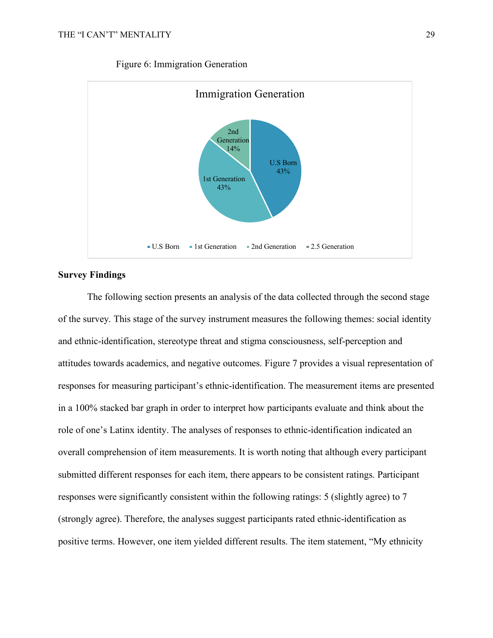

### Figure 6: Immigration Generation

### **Survey Findings**

The following section presents an analysis of the data collected through the second stage of the survey. This stage of the survey instrument measures the following themes: social identity and ethnic-identification, stereotype threat and stigma consciousness, self-perception and attitudes towards academics, and negative outcomes. Figure 7 provides a visual representation of responses for measuring participant's ethnic-identification. The measurement items are presented in a 100% stacked bar graph in order to interpret how participants evaluate and think about the role of one's Latinx identity. The analyses of responses to ethnic-identification indicated an overall comprehension of item measurements. It is worth noting that although every participant submitted different responses for each item, there appears to be consistent ratings. Participant responses were significantly consistent within the following ratings: 5 (slightly agree) to 7 (strongly agree). Therefore, the analyses suggest participants rated ethnic-identification as positive terms. However, one item yielded different results. The item statement, "My ethnicity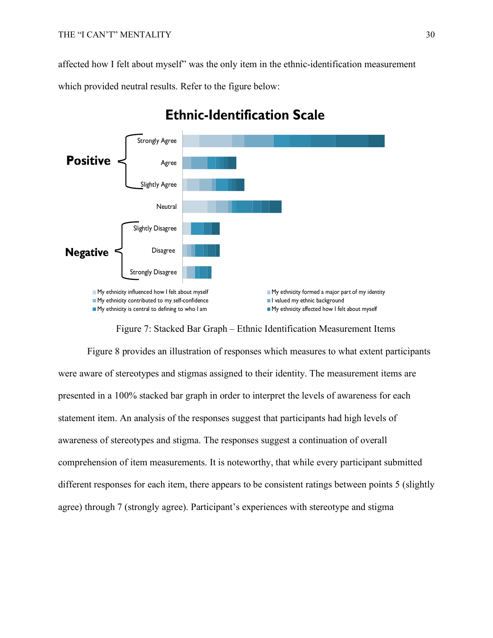affected how I felt about myself" was the only item in the ethnic-identification measurement

which provided neutral results. Refer to the figure below:



## **Ethnic-Identification Scale**

Figure 7: Stacked Bar Graph – Ethnic Identification Measurement Items

Figure 8 provides an illustration of responses which measures to what extent participants were aware of stereotypes and stigmas assigned to their identity. The measurement items are presented in a 100% stacked bar graph in order to interpret the levels of awareness for each statement item. An analysis of the responses suggest that participants had high levels of awareness of stereotypes and stigma. The responses suggest a continuation of overall comprehension of item measurements. It is noteworthy, that while every participant submitted different responses for each item, there appears to be consistent ratings between points 5 (slightly agree) through 7 (strongly agree). Participant's experiences with stereotype and stigma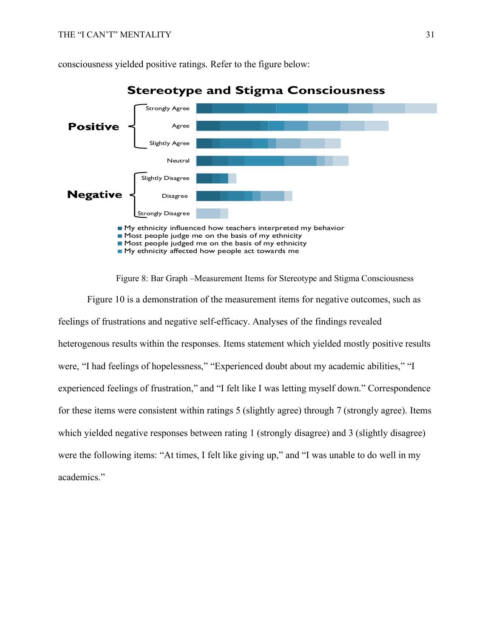

consciousness yielded positive ratings. Refer to the figure below:

My ethnicity affected how people act towards me



Figure 8: Bar Graph –Measurement Items for Stereotype and Stigma Consciousness

Figure 10 is a demonstration of the measurement items for negative outcomes, such as feelings of frustrations and negative self-efficacy. Analyses of the findings revealed heterogenous results within the responses. Items statement which yielded mostly positive results were, "I had feelings of hopelessness," "Experienced doubt about my academic abilities," "I experienced feelings of frustration," and "I felt like I was letting myself down." Correspondence for these items were consistent within ratings 5 (slightly agree) through 7 (strongly agree). Items which yielded negative responses between rating 1 (strongly disagree) and 3 (slightly disagree) were the following items: "At times, I felt like giving up," and "I was unable to do well in my academics."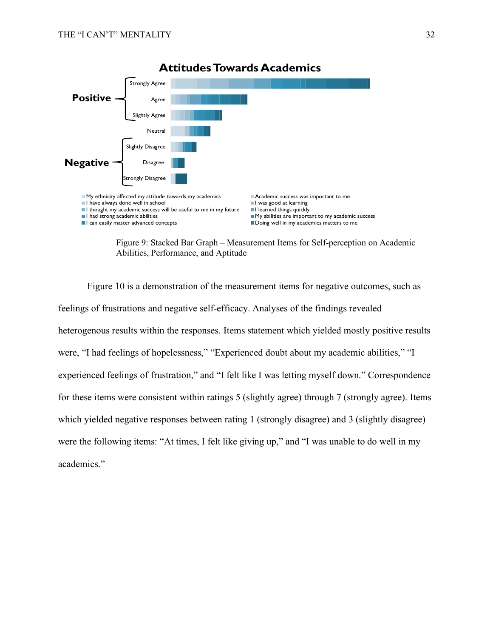

Figure 9: Stacked Bar Graph – Measurement Items for Self-perception on Academic Abilities, Performance, and Aptitude

Figure 10 is a demonstration of the measurement items for negative outcomes, such as feelings of frustrations and negative self-efficacy. Analyses of the findings revealed heterogenous results within the responses. Items statement which yielded mostly positive results were, "I had feelings of hopelessness," "Experienced doubt about my academic abilities," "I experienced feelings of frustration," and "I felt like I was letting myself down." Correspondence for these items were consistent within ratings 5 (slightly agree) through 7 (strongly agree). Items which yielded negative responses between rating 1 (strongly disagree) and 3 (slightly disagree) were the following items: "At times, I felt like giving up," and "I was unable to do well in my academics."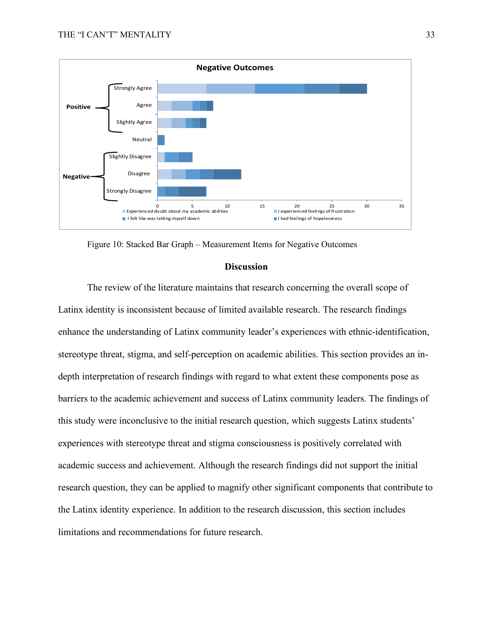

Figure 10: Stacked Bar Graph – Measurement Items for Negative Outcomes

#### **Discussion**

The review of the literature maintains that research concerning the overall scope of Latinx identity is inconsistent because of limited available research. The research findings enhance the understanding of Latinx community leader's experiences with ethnic-identification, stereotype threat, stigma, and self-perception on academic abilities. This section provides an indepth interpretation of research findings with regard to what extent these components pose as barriers to the academic achievement and success of Latinx community leaders. The findings of this study were inconclusive to the initial research question, which suggests Latinx students' experiences with stereotype threat and stigma consciousness is positively correlated with academic success and achievement. Although the research findings did not support the initial research question, they can be applied to magnify other significant components that contribute to the Latinx identity experience. In addition to the research discussion, this section includes limitations and recommendations for future research.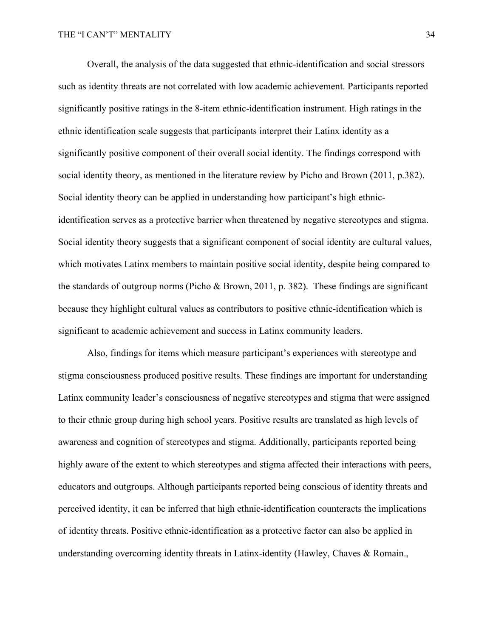Overall, the analysis of the data suggested that ethnic-identification and social stressors such as identity threats are not correlated with low academic achievement. Participants reported significantly positive ratings in the 8-item ethnic-identification instrument. High ratings in the ethnic identification scale suggests that participants interpret their Latinx identity as a significantly positive component of their overall social identity. The findings correspond with social identity theory, as mentioned in the literature review by Picho and Brown (2011, p.382). Social identity theory can be applied in understanding how participant's high ethnicidentification serves as a protective barrier when threatened by negative stereotypes and stigma. Social identity theory suggests that a significant component of social identity are cultural values, which motivates Latinx members to maintain positive social identity, despite being compared to the standards of outgroup norms (Picho & Brown, 2011, p. 382). These findings are significant because they highlight cultural values as contributors to positive ethnic-identification which is significant to academic achievement and success in Latinx community leaders.

Also, findings for items which measure participant's experiences with stereotype and stigma consciousness produced positive results. These findings are important for understanding Latinx community leader's consciousness of negative stereotypes and stigma that were assigned to their ethnic group during high school years. Positive results are translated as high levels of awareness and cognition of stereotypes and stigma. Additionally, participants reported being highly aware of the extent to which stereotypes and stigma affected their interactions with peers, educators and outgroups. Although participants reported being conscious of identity threats and perceived identity, it can be inferred that high ethnic-identification counteracts the implications of identity threats. Positive ethnic-identification as a protective factor can also be applied in understanding overcoming identity threats in Latinx-identity (Hawley, Chaves & Romain.,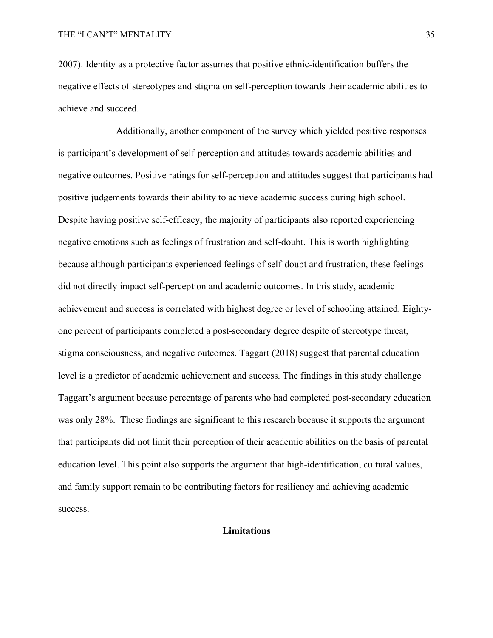2007). Identity as a protective factor assumes that positive ethnic-identification buffers the negative effects of stereotypes and stigma on self-perception towards their academic abilities to achieve and succeed.

Additionally, another component of the survey which yielded positive responses is participant's development of self-perception and attitudes towards academic abilities and negative outcomes. Positive ratings for self-perception and attitudes suggest that participants had positive judgements towards their ability to achieve academic success during high school. Despite having positive self-efficacy, the majority of participants also reported experiencing negative emotions such as feelings of frustration and self-doubt. This is worth highlighting because although participants experienced feelings of self-doubt and frustration, these feelings did not directly impact self-perception and academic outcomes. In this study, academic achievement and success is correlated with highest degree or level of schooling attained. Eightyone percent of participants completed a post-secondary degree despite of stereotype threat, stigma consciousness, and negative outcomes. Taggart (2018) suggest that parental education level is a predictor of academic achievement and success. The findings in this study challenge Taggart's argument because percentage of parents who had completed post-secondary education was only 28%. These findings are significant to this research because it supports the argument that participants did not limit their perception of their academic abilities on the basis of parental education level. This point also supports the argument that high-identification, cultural values, and family support remain to be contributing factors for resiliency and achieving academic success.

### **Limitations**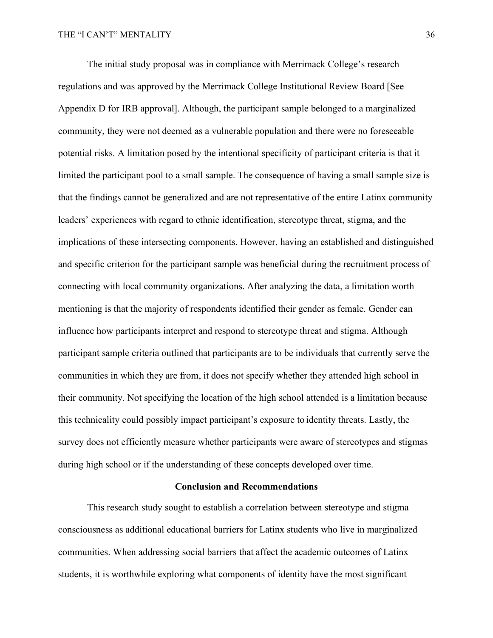The initial study proposal was in compliance with Merrimack College's research regulations and was approved by the Merrimack College Institutional Review Board [See Appendix D for IRB approval]. Although, the participant sample belonged to a marginalized community, they were not deemed as a vulnerable population and there were no foreseeable potential risks. A limitation posed by the intentional specificity of participant criteria is that it limited the participant pool to a small sample. The consequence of having a small sample size is that the findings cannot be generalized and are not representative of the entire Latinx community leaders' experiences with regard to ethnic identification, stereotype threat, stigma, and the implications of these intersecting components. However, having an established and distinguished and specific criterion for the participant sample was beneficial during the recruitment process of connecting with local community organizations. After analyzing the data, a limitation worth mentioning is that the majority of respondents identified their gender as female. Gender can influence how participants interpret and respond to stereotype threat and stigma. Although participant sample criteria outlined that participants are to be individuals that currently serve the communities in which they are from, it does not specify whether they attended high school in their community. Not specifying the location of the high school attended is a limitation because this technicality could possibly impact participant's exposure to identity threats. Lastly, the survey does not efficiently measure whether participants were aware of stereotypes and stigmas during high school or if the understanding of these concepts developed over time.

#### **Conclusion and Recommendations**

This research study sought to establish a correlation between stereotype and stigma consciousness as additional educational barriers for Latinx students who live in marginalized communities. When addressing social barriers that affect the academic outcomes of Latinx students, it is worthwhile exploring what components of identity have the most significant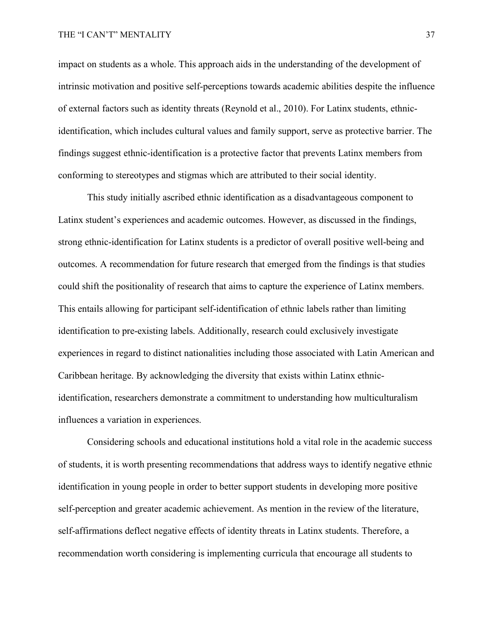impact on students as a whole. This approach aids in the understanding of the development of intrinsic motivation and positive self-perceptions towards academic abilities despite the influence of external factors such as identity threats (Reynold et al., 2010). For Latinx students, ethnicidentification, which includes cultural values and family support, serve as protective barrier. The findings suggest ethnic-identification is a protective factor that prevents Latinx members from conforming to stereotypes and stigmas which are attributed to their social identity.

This study initially ascribed ethnic identification as a disadvantageous component to Latinx student's experiences and academic outcomes. However, as discussed in the findings, strong ethnic-identification for Latinx students is a predictor of overall positive well-being and outcomes. A recommendation for future research that emerged from the findings is that studies could shift the positionality of research that aims to capture the experience of Latinx members. This entails allowing for participant self-identification of ethnic labels rather than limiting identification to pre-existing labels. Additionally, research could exclusively investigate experiences in regard to distinct nationalities including those associated with Latin American and Caribbean heritage. By acknowledging the diversity that exists within Latinx ethnicidentification, researchers demonstrate a commitment to understanding how multiculturalism influences a variation in experiences.

Considering schools and educational institutions hold a vital role in the academic success of students, it is worth presenting recommendations that address ways to identify negative ethnic identification in young people in order to better support students in developing more positive self-perception and greater academic achievement. As mention in the review of the literature, self-affirmations deflect negative effects of identity threats in Latinx students. Therefore, a recommendation worth considering is implementing curricula that encourage all students to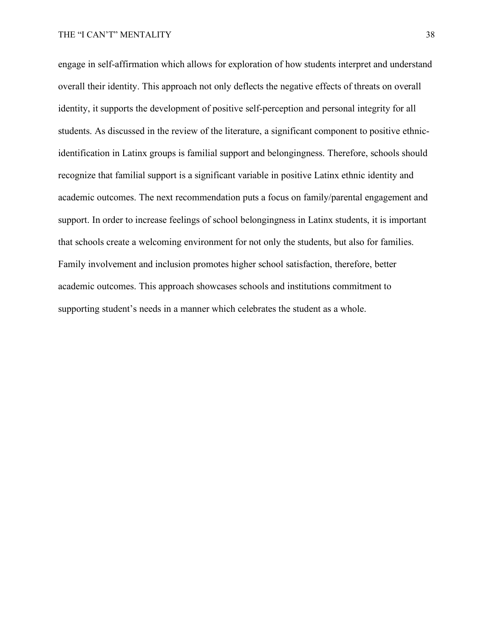engage in self-affirmation which allows for exploration of how students interpret and understand overall their identity. This approach not only deflects the negative effects of threats on overall identity, it supports the development of positive self-perception and personal integrity for all students. As discussed in the review of the literature, a significant component to positive ethnicidentification in Latinx groups is familial support and belongingness. Therefore, schools should recognize that familial support is a significant variable in positive Latinx ethnic identity and academic outcomes. The next recommendation puts a focus on family/parental engagement and support. In order to increase feelings of school belongingness in Latinx students, it is important that schools create a welcoming environment for not only the students, but also for families. Family involvement and inclusion promotes higher school satisfaction, therefore, better academic outcomes. This approach showcases schools and institutions commitment to supporting student's needs in a manner which celebrates the student as a whole.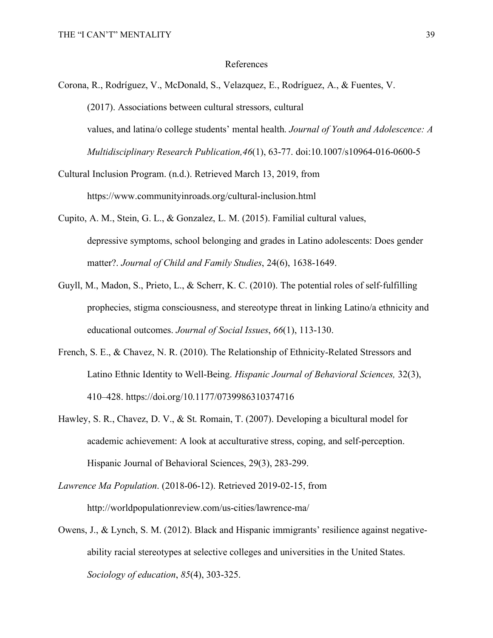#### References

Corona, R., Rodríguez, V., McDonald, S., Velazquez, E., Rodríguez, A., & Fuentes, V. (2017). Associations between cultural stressors, cultural values, and latina/o college students' mental health. *Journal of Youth and Adolescence: A Multidisciplinary Research Publication,46*(1), 63-77. doi:10.1007/s10964-016-0600-5

- Cultural Inclusion Program. (n.d.). Retrieved March 13, 2019, from https://www.communityinroads.org/cultural-inclusion.html
- Cupito, A. M., Stein, G. L., & Gonzalez, L. M. (2015). Familial cultural values, depressive symptoms, school belonging and grades in Latino adolescents: Does gender matter?. *Journal of Child and Family Studies*, 24(6), 1638-1649.
- Guyll, M., Madon, S., Prieto, L., & Scherr, K. C. (2010). The potential roles of self-fulfilling prophecies, stigma consciousness, and stereotype threat in linking Latino/a ethnicity and educational outcomes. *Journal of Social Issues*, *66*(1), 113-130.
- French, S. E., & Chavez, N. R. (2010). The Relationship of Ethnicity-Related Stressors and Latino Ethnic Identity to Well-Being. *Hispanic Journal of Behavioral Sciences,* 32(3), 410–428. https://doi.org/10.1177/0739986310374716
- Hawley, S. R., Chavez, D. V., & St. Romain, T. (2007). Developing a bicultural model for academic achievement: A look at acculturative stress, coping, and self-perception. Hispanic Journal of Behavioral Sciences, 29(3), 283-299.
- *Lawrence Ma Population*. (2018-06-12). Retrieved 2019-02-15, from http://worldpopulationreview.com/us-cities/lawrence-ma/
- Owens, J., & Lynch, S. M. (2012). Black and Hispanic immigrants' resilience against negativeability racial stereotypes at selective colleges and universities in the United States. *Sociology of education*, *85*(4), 303-325.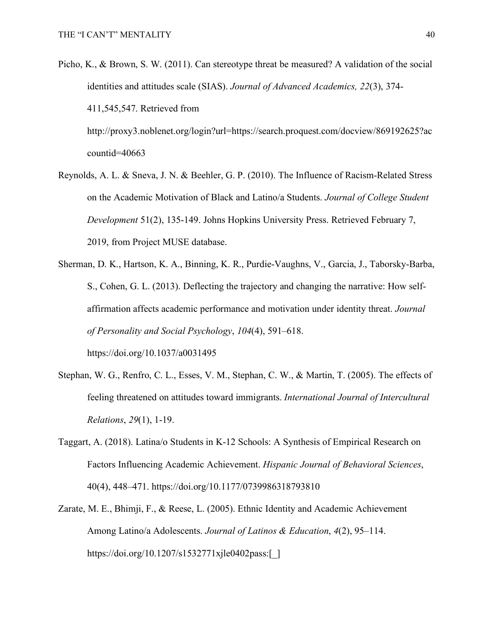Picho, K., & Brown, S. W. (2011). Can stereotype threat be measured? A validation of the social identities and attitudes scale (SIAS). *Journal of Advanced Academics, 22*(3), 374- 411,545,547. Retrieved from http://proxy3.noblenet.org/login?url=https://search.proquest.com/docview/869192625?ac

countid=40663

- Reynolds, A. L. & Sneva, J. N. & Beehler, G. P. (2010). The Influence of Racism-Related Stress on the Academic Motivation of Black and Latino/a Students. *Journal of College Student Development* 51(2), 135-149. Johns Hopkins University Press. Retrieved February 7, 2019, from Project MUSE database.
- Sherman, D. K., Hartson, K. A., Binning, K. R., Purdie-Vaughns, V., Garcia, J., Taborsky-Barba, S., Cohen, G. L. (2013). Deflecting the trajectory and changing the narrative: How selfaffirmation affects academic performance and motivation under identity threat. *Journal of Personality and Social Psychology*, *104*(4), 591–618. https://doi.org/10.1037/a0031495
- Stephan, W. G., Renfro, C. L., Esses, V. M., Stephan, C. W., & Martin, T. (2005). The effects of feeling threatened on attitudes toward immigrants. *International Journal of Intercultural Relations*, *29*(1), 1-19.
- Taggart, A. (2018). Latina/o Students in K-12 Schools: A Synthesis of Empirical Research on Factors Influencing Academic Achievement. *Hispanic Journal of Behavioral Sciences*, 40(4), 448–471. https://doi.org/10.1177/0739986318793810
- Zarate, M. E., Bhimji, F., & Reese, L. (2005). Ethnic Identity and Academic Achievement Among Latino/a Adolescents. *Journal of Latinos & Education*, *4*(2), 95–114. https://doi.org/10.1207/s1532771xjle0402pass:[\_]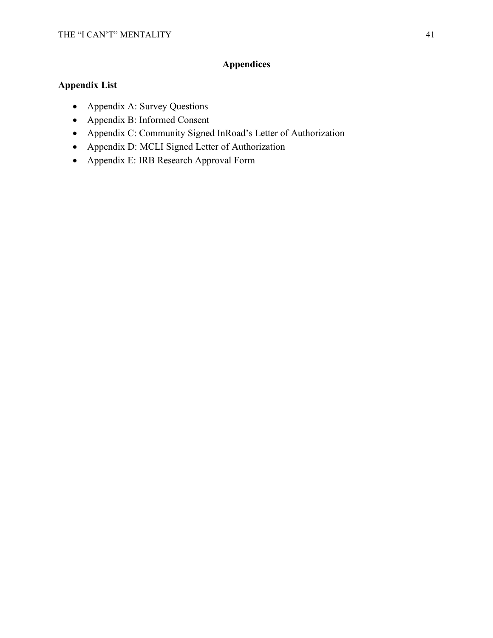## **Appendices**

### **Appendix List**

- Appendix A: Survey Questions
- Appendix B: Informed Consent
- Appendix C: Community Signed InRoad's Letter of Authorization
- Appendix D: MCLI Signed Letter of Authorization
- Appendix E: IRB Research Approval Form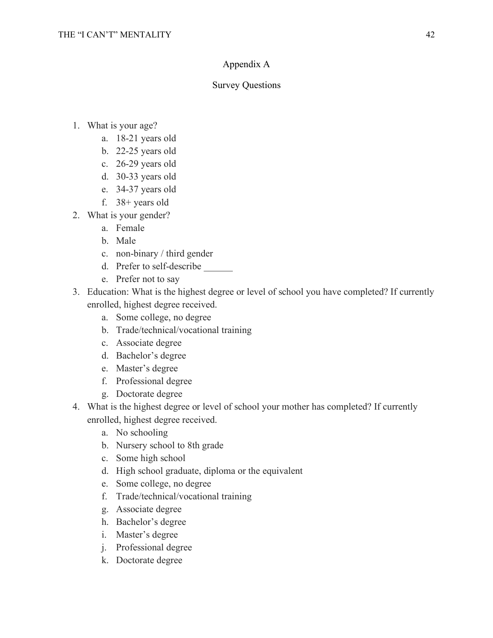### Appendix A

### Survey Questions

- 1. What is your age?
	- a. 18-21 years old
	- b. 22-25 years old
	- c. 26-29 years old
	- d. 30-33 years old
	- e. 34-37 years old
	- f. 38+ years old
- 2. What is your gender?
	- a. Female
	- b. Male
	- c. non-binary / third gender
	- d. Prefer to self-describe
	- e. Prefer not to say
- 3. Education: What is the highest degree or level of school you have completed? If currently enrolled, highest degree received.
	- a. Some college, no degree
	- b. Trade/technical/vocational training
	- c. Associate degree
	- d. Bachelor's degree
	- e. Master's degree
	- f. Professional degree
	- g. Doctorate degree
- 4. What is the highest degree or level of school your mother has completed? If currently enrolled, highest degree received.
	- a. No schooling
	- b. Nursery school to 8th grade
	- c. Some high school
	- d. High school graduate, diploma or the equivalent
	- e. Some college, no degree
	- f. Trade/technical/vocational training
	- g. Associate degree
	- h. Bachelor's degree
	- i. Master's degree
	- j. Professional degree
	- k. Doctorate degree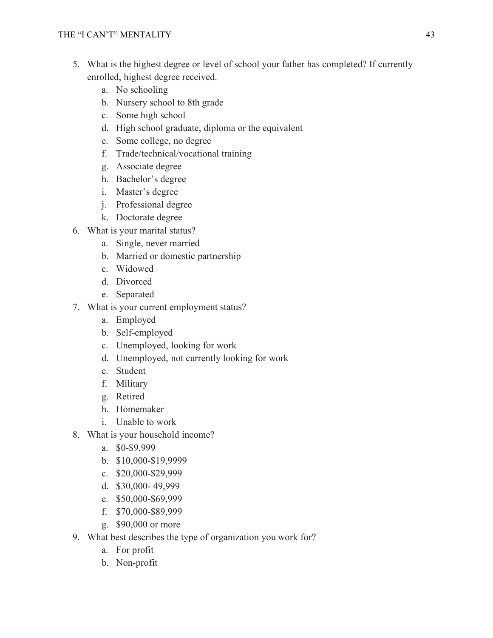- 5. What is the highest degree or level of school your father has completed? If currently enrolled, highest degree received.
	- a. No schooling
	- b. Nursery school to 8th grade
	- c. Some high school
	- d. High school graduate, diploma or the equivalent
	- e. Some college, no degree
	- f. Trade/technical/vocational training
	- g. Associate degree
	- h. Bachelor's degree
	- i. Master's degree
	- j. Professional degree
	- k. Doctorate degree
- 6. What is your marital status?
	- a. Single, never married
	- b. Married or domestic partnership
	- c. Widowed
	- d. Divorced
	- e. Separated
- 7. What is your current employment status?
	- a. Employed
	- b. Self-employed
	- c. Unemployed, looking for work
	- d. Unemployed, not currently looking for work
	- e. Student
	- f. Military
	- g. Retired
	- h. Homemaker
	- i. Unable to work
- 8. What is your household income?
	- a. \$0-\$9,999
	- b. \$10,000-\$19,9999
	- c. \$20,000-\$29,999
	- d. \$30,000- 49,999
	- e. \$50,000-\$69,999
	- f. \$70,000-\$89,999
	- g. \$90,000 or more
- 9. What best describes the type of organization you work for?
	- a. For profit
	- b. Non-profit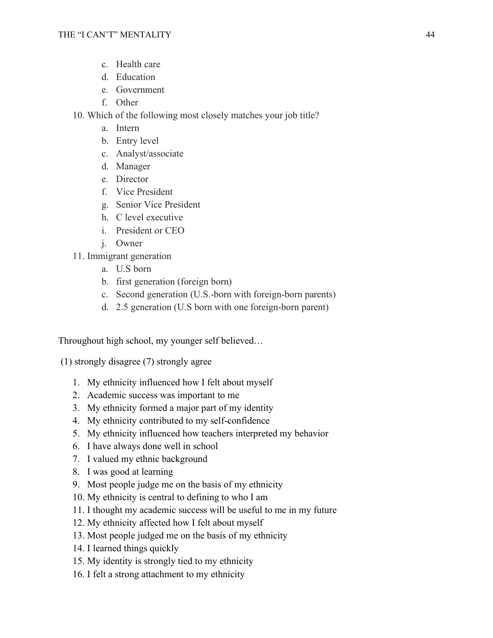- c. Health care
- d. Education
- e. Government
- f. Other
- 10. Which of the following most closely matches your job title?
	- a. Intern
	- b. Entry level
	- c. Analyst/associate
	- d. Manager
	- e. Director
	- f. Vice President
	- g. Senior Vice President
	- h. C level executive
	- i. President or CEO
	- j. Owner
- 11. Immigrant generation
	- a. U.S born
	- b. first generation (foreign born)
	- c. Second generation (U.S.-born with foreign-born parents)
	- d. 2.5 generation (U.S born with one foreign-born parent)

Throughout high school, my younger self believed…

(1) strongly disagree (7) strongly agree

- 1. My ethnicity influenced how I felt about myself
- 2. Academic success was important to me
- 3. My ethnicity formed a major part of my identity
- 4. My ethnicity contributed to my self-confidence
- 5. My ethnicity influenced how teachers interpreted my behavior
- 6. I have always done well in school
- 7. I valued my ethnic background
- 8. I was good at learning
- 9. Most people judge me on the basis of my ethnicity
- 10. My ethnicity is central to defining to who I am
- 11. I thought my academic success will be useful to me in my future
- 12. My ethnicity affected how I felt about myself
- 13. Most people judged me on the basis of my ethnicity
- 14. I learned things quickly
- 15. My identity is strongly tied to my ethnicity
- 16. I felt a strong attachment to my ethnicity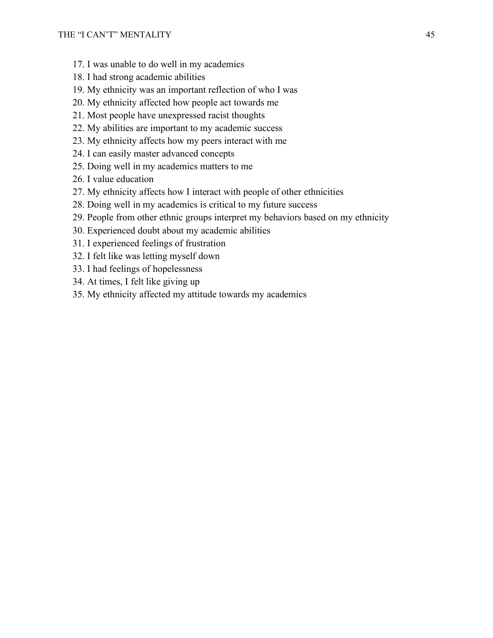- 17. I was unable to do well in my academics
- 18. I had strong academic abilities
- 19. My ethnicity was an important reflection of who I was
- 20. My ethnicity affected how people act towards me
- 21. Most people have unexpressed racist thoughts
- 22. My abilities are important to my academic success
- 23. My ethnicity affects how my peers interact with me
- 24. I can easily master advanced concepts
- 25. Doing well in my academics matters to me
- 26. I value education
- 27. My ethnicity affects how I interact with people of other ethnicities
- 28. Doing well in my academics is critical to my future success
- 29. People from other ethnic groups interpret my behaviors based on my ethnicity
- 30. Experienced doubt about my academic abilities
- 31. I experienced feelings of frustration
- 32. I felt like was letting myself down
- 33. I had feelings of hopelessness
- 34. At times, I felt like giving up
- 35. My ethnicity affected my attitude towards my academics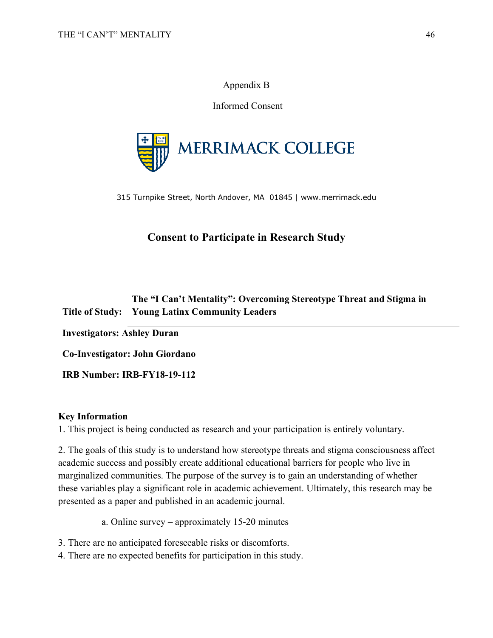### Appendix B

Informed Consent



315 Turnpike Street, North Andover, MA 01845 | www.merrimack.edu

## **Consent to Participate in Research Study**

### **Title of Study: Young Latinx Community Leaders The "I Can't Mentality": Overcoming Stereotype Threat and Stigma in**

**Investigators: Ashley Duran**

**Co-Investigator: John Giordano** 

**IRB Number: IRB-FY18-19-112**

### **Key Information**

1. This project is being conducted as research and your participation is entirely voluntary.

2. The goals of this study is to understand how stereotype threats and stigma consciousness affect academic success and possibly create additional educational barriers for people who live in marginalized communities. The purpose of the survey is to gain an understanding of whether these variables play a significant role in academic achievement. Ultimately, this research may be presented as a paper and published in an academic journal.

a. Online survey – approximately 15-20 minutes

3. There are no anticipated foreseeable risks or discomforts.

4. There are no expected benefits for participation in this study.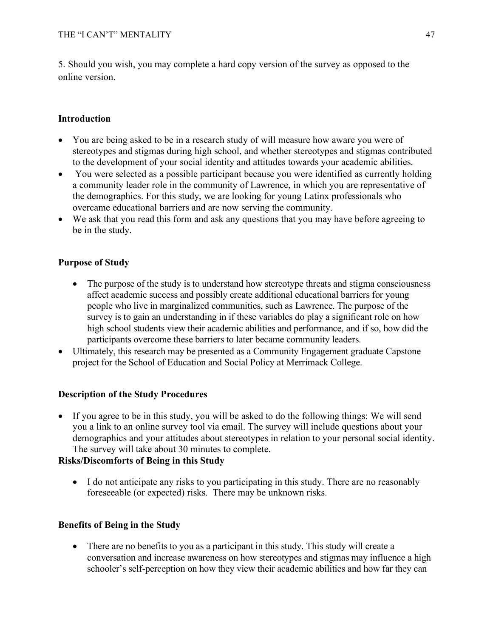5. Should you wish, you may complete a hard copy version of the survey as opposed to the online version.

### **Introduction**

- You are being asked to be in a research study of will measure how aware you were of stereotypes and stigmas during high school, and whether stereotypes and stigmas contributed to the development of your social identity and attitudes towards your academic abilities.
- You were selected as a possible participant because you were identified as currently holding a community leader role in the community of Lawrence, in which you are representative of the demographics. For this study, we are looking for young Latinx professionals who overcame educational barriers and are now serving the community.
- We ask that you read this form and ask any questions that you may have before agreeing to be in the study.

### **Purpose of Study**

- The purpose of the study is to understand how stereotype threats and stigma consciousness affect academic success and possibly create additional educational barriers for young people who live in marginalized communities, such as Lawrence. The purpose of the survey is to gain an understanding in if these variables do play a significant role on how high school students view their academic abilities and performance, and if so, how did the participants overcome these barriers to later became community leaders.
- Ultimately, this research may be presented as a Community Engagement graduate Capstone project for the School of Education and Social Policy at Merrimack College.

### **Description of the Study Procedures**

• If you agree to be in this study, you will be asked to do the following things: We will send you a link to an online survey tool via email. The survey will include questions about your demographics and your attitudes about stereotypes in relation to your personal social identity. The survey will take about 30 minutes to complete.

### **Risks/Discomforts of Being in this Study**

• I do not anticipate any risks to you participating in this study. There are no reasonably foreseeable (or expected) risks. There may be unknown risks.

### **Benefits of Being in the Study**

• There are no benefits to you as a participant in this study. This study will create a conversation and increase awareness on how stereotypes and stigmas may influence a high schooler's self-perception on how they view their academic abilities and how far they can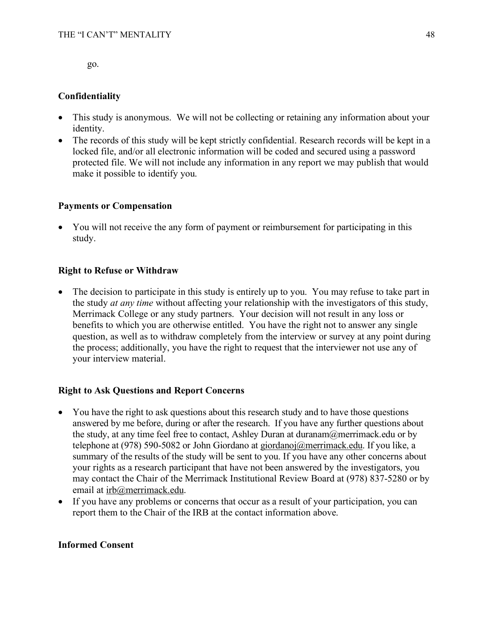go.

### **Confidentiality**

- This study is anonymous. We will not be collecting or retaining any information about your identity.
- The records of this study will be kept strictly confidential. Research records will be kept in a locked file, and/or all electronic information will be coded and secured using a password protected file. We will not include any information in any report we may publish that would make it possible to identify you.

### **Payments or Compensation**

• You will not receive the any form of payment or reimbursement for participating in this study.

### **Right to Refuse or Withdraw**

• The decision to participate in this study is entirely up to you. You may refuse to take part in the study *at any time* without affecting your relationship with the investigators of this study, Merrimack College or any study partners. Your decision will not result in any loss or benefits to which you are otherwise entitled. You have the right not to answer any single question, as well as to withdraw completely from the interview or survey at any point during the process; additionally, you have the right to request that the interviewer not use any of your interview material.

### **Right to Ask Questions and Report Concerns**

- You have the right to ask questions about this research study and to have those questions answered by me before, during or after the research. If you have any further questions about the study, at any time feel free to contact, Ashley Duran at duranam $@$ merrimack.edu or by telephone at (978) 590-5082 or John Giordano at giordanoj@merrimack.edu. If you like, a summary of the results of the study will be sent to you. If you have any other concerns about your rights as a research participant that have not been answered by the investigators, you may contact the Chair of the Merrimack Institutional Review Board at (978) 837-5280 or by email at irb@merrimack.edu.
- If you have any problems or concerns that occur as a result of your participation, you can report them to the Chair of the IRB at the contact information above.

### **Informed Consent**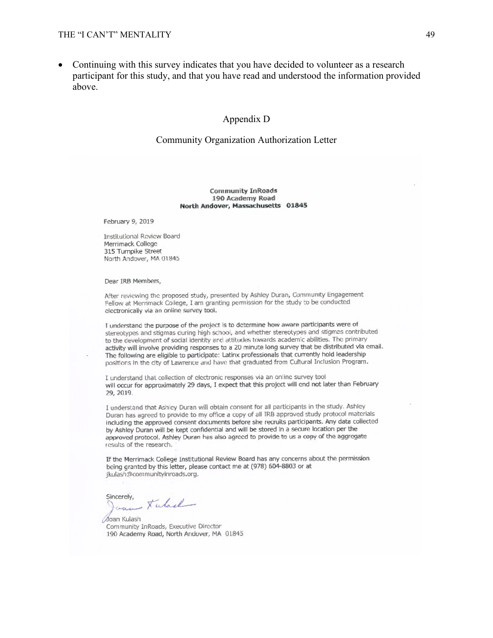• Continuing with this survey indicates that you have decided to volunteer as a research participant for this study, and that you have read and understood the information provided above.

#### Appendix D

#### Community Organization Authorization Letter

#### **Community InRoads** 190 Academy Road North Andover, Massachusetts 01845

February 9, 2019

Institutional Review Board Merrimack College 315 Turnpike Street North Andover, MA 01845

Dear IRB Members,

After reviewing the proposed study, presented by Ashley Duran, Community Engagement Fellow at Merrimack College, I am granting permission for the study to be conducted electronically via an online survey tool.

I understand the purpose of the project is to determine how aware participants were of stereotypes and stigmas during high school, and whether stereotypes and stigmas contributed to the development of social identity and attitudes towards academic abilities. The primary activity will involve providing responses to a 20 minute long survey that be distributed via email. The following are eligible to participate: Latinx professionals that currently hold leadership positions in the city of Lawrence and have that graduated from Cultural Inclusion Program.

I understand that collection of electronic responses via an online survey tool will occur for approximately 29 days, I expect that this project will end not later than February 29, 2019.

I understand that Ashley Duran will obtain consent for all participants in the study. Ashley Duran has agreed to provide to my office a copy of all IRB approved study protocol materials including the approved consent documents before she recruits participants. Any data collected by Ashley Duran will be kept confidential and will be stored in a secure location per the approved protocol. Ashley Duran has also agreed to provide to us a copy of the aggregate results of the research.

If the Merrimack College Institutional Review Board has any concerns about the permission being granted by this letter, please contact me at (978) 604-8803 or at jkulash@communityinroads.org.

Sincerely, - Kulad

Joan Kulash Community InRoads, Executive Director 190 Academy Road, North Andover, MA 01845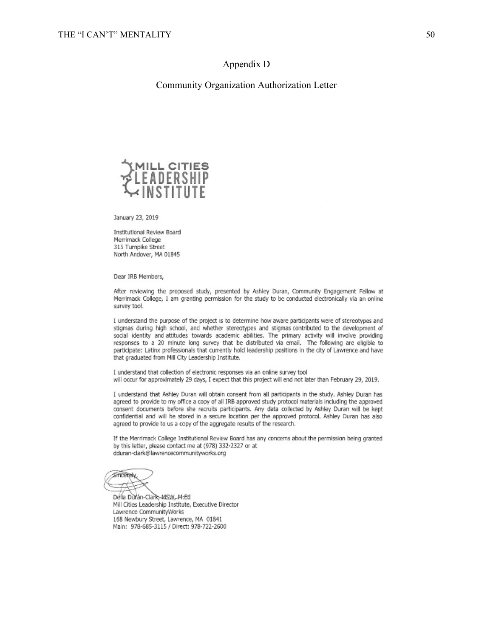#### Appendix D

#### Community Organization Authorization Letter



January 23, 2019

Institutional Review Board Merrimack College 315 Turnpike Street North Andover, MA 01845

Dear IRB Members,

After reviewing the proposed study, presented by Ashley Duran, Community Engagement Fellow at Merrimack College, I am granting permission for the study to be conducted electronically via an online survey tool.

I understand the purpose of the project is to determine how aware participants were of stereotypes and stigmas during high school, and whether stereotypes and stigmas contributed to the development of social identity and attitudes towards academic abilities. The primary activity will involve providing responses to a 20 minute long survey that be distributed via email. The following are eligible to participate: Latinx professionals that currently hold leadership positions in the city of Lawrence and have that graduated from Mill City Leadership Institute.

I understand that collection of electronic responses via an online survey tool will occur for approximately 29 days, I expect that this project will end not later than February 29, 2019.

I understand that Ashley Duran will obtain consent from all participants in the study. Ashley Duran has agreed to provide to my office a copy of all IRB approved study protocol materials including the approved consent documents before she recruits participants. Any data collected by Ashley Duran will be kept confidential and will be stored in a secure location per the approved protocol. Ashley Duran has also agreed to provide to us a copy of the aggregate results of the research.

If the Merrimack College Institutional Review Board has any concerns about the permission being granted by this letter, please contact me at (978) 332-2327 or at dduran-dark@lawrencecommunityworks.org

Sincerely

Della Durán-Clark, MSW, M.Ed Mill Cities Leadership Institute, Executive Director Lawrence CommunityWorks 168 Newbury Street, Lawrence, MA 01841 Main: 978-685-3115 / Direct: 978-722-2600